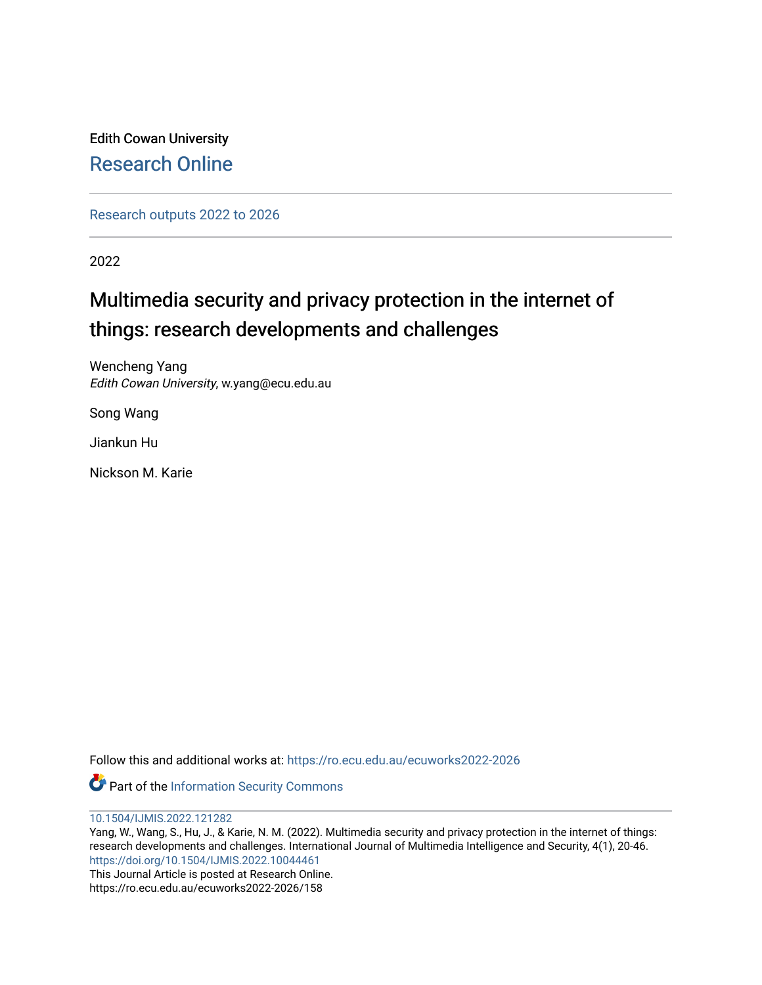Edith Cowan University [Research Online](https://ro.ecu.edu.au/) 

[Research outputs 2022 to 2026](https://ro.ecu.edu.au/ecuworks2022-2026) 

2022

# Multimedia security and privacy protection in the internet of things: research developments and challenges

Wencheng Yang Edith Cowan University, w.yang@ecu.edu.au

Song Wang

Jiankun Hu

Nickson M. Karie

Follow this and additional works at: [https://ro.ecu.edu.au/ecuworks2022-2026](https://ro.ecu.edu.au/ecuworks2022-2026?utm_source=ro.ecu.edu.au%2Fecuworks2022-2026%2F158&utm_medium=PDF&utm_campaign=PDFCoverPages)

Part of the [Information Security Commons](http://network.bepress.com/hgg/discipline/1247?utm_source=ro.ecu.edu.au%2Fecuworks2022-2026%2F158&utm_medium=PDF&utm_campaign=PDFCoverPages) 

[10.1504/IJMIS.2022.121282](http://dx.doi.org/10.1504/IJMIS.2022.121282) 

Yang, W., Wang, S., Hu, J., & Karie, N. M. (2022). Multimedia security and privacy protection in the internet of things: research developments and challenges. International Journal of Multimedia Intelligence and Security, 4(1), 20-46. <https://doi.org/10.1504/IJMIS.2022.10044461>

This Journal Article is posted at Research Online. https://ro.ecu.edu.au/ecuworks2022-2026/158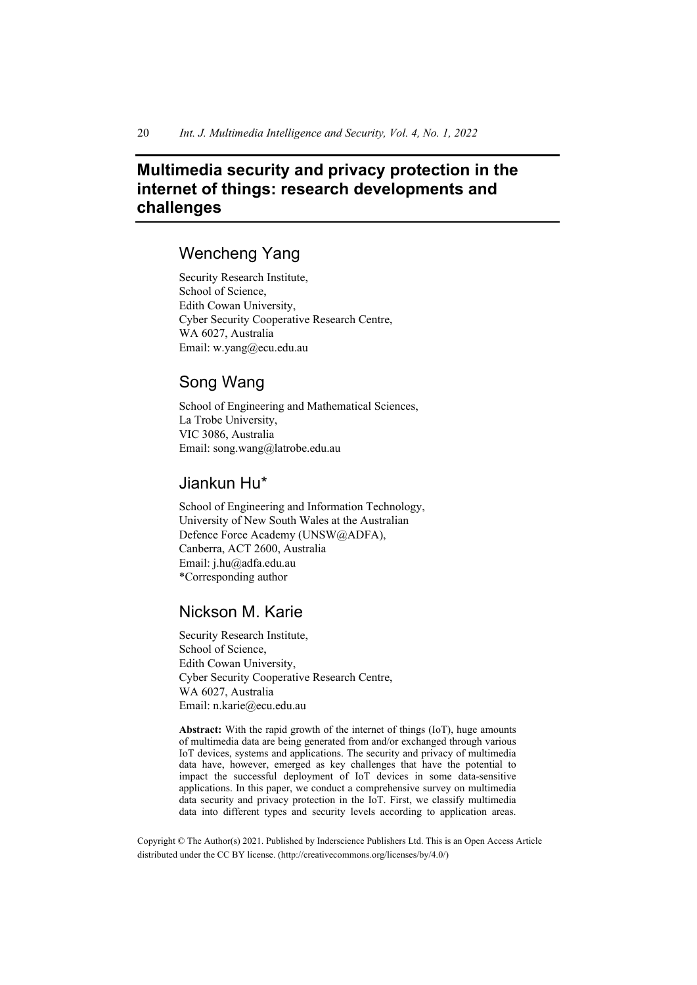## **Multimedia security and privacy protection in the internet of things: research developments and challenges**

## Wencheng Yang

Security Research Institute, School of Science, Edith Cowan University, Cyber Security Cooperative Research Centre, WA 6027, Australia Email: w.yang@ecu.edu.au

## Song Wang

School of Engineering and Mathematical Sciences, La Trobe University, VIC 3086, Australia Email: song.wang@latrobe.edu.au

## Jiankun Hu\*

School of Engineering and Information Technology, University of New South Wales at the Australian Defence Force Academy (UNSW@ADFA), Canberra, ACT 2600, Australia Email: j.hu@adfa.edu.au \*Corresponding author

## Nickson M. Karie

Security Research Institute, School of Science, Edith Cowan University, Cyber Security Cooperative Research Centre, WA 6027, Australia Email: n.karie@ecu.edu.au

**Abstract:** With the rapid growth of the internet of things (IoT), huge amounts of multimedia data are being generated from and/or exchanged through various IoT devices, systems and applications. The security and privacy of multimedia data have, however, emerged as key challenges that have the potential to impact the successful deployment of IoT devices in some data-sensitive applications. In this paper, we conduct a comprehensive survey on multimedia data security and privacy protection in the IoT. First, we classify multimedia data into different types and security levels according to application areas.

 Copyright © The Author(s) 2021. Published by Inderscience Publishers Ltd. This is an Open Access Article distributed under the CC BY license. (http://creativecommons.org/licenses/by/4.0/)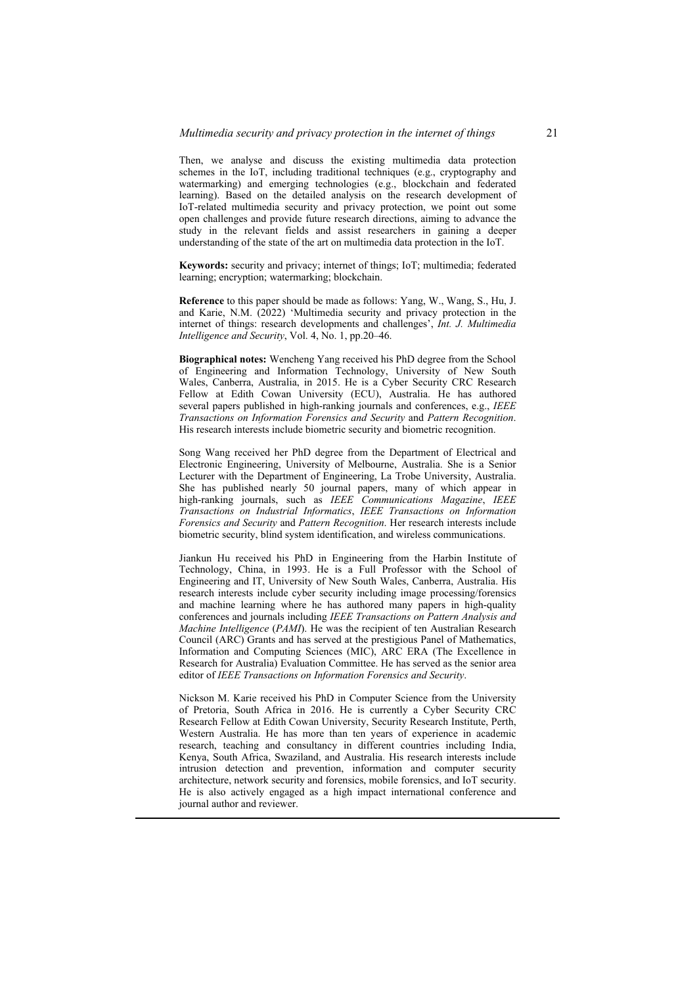Then, we analyse and discuss the existing multimedia data protection schemes in the IoT, including traditional techniques (e.g., cryptography and watermarking) and emerging technologies (e.g., blockchain and federated learning). Based on the detailed analysis on the research development of IoT-related multimedia security and privacy protection, we point out some open challenges and provide future research directions, aiming to advance the study in the relevant fields and assist researchers in gaining a deeper understanding of the state of the art on multimedia data protection in the IoT.

**Keywords:** security and privacy; internet of things; IoT; multimedia; federated learning; encryption; watermarking; blockchain.

**Reference** to this paper should be made as follows: Yang, W., Wang, S., Hu, J. and Karie, N.M. (2022) 'Multimedia security and privacy protection in the internet of things: research developments and challenges', *Int. J. Multimedia Intelligence and Security*, Vol. 4, No. 1, pp.20–46.

**Biographical notes:** Wencheng Yang received his PhD degree from the School of Engineering and Information Technology, University of New South Wales, Canberra, Australia, in 2015. He is a Cyber Security CRC Research Fellow at Edith Cowan University (ECU), Australia. He has authored several papers published in high-ranking journals and conferences, e.g., *IEEE Transactions on Information Forensics and Security* and *Pattern Recognition*. His research interests include biometric security and biometric recognition.

Song Wang received her PhD degree from the Department of Electrical and Electronic Engineering, University of Melbourne, Australia. She is a Senior Lecturer with the Department of Engineering, La Trobe University, Australia. She has published nearly 50 journal papers, many of which appear in high-ranking journals, such as *IEEE Communications Magazine*, *IEEE Transactions on Industrial Informatics*, *IEEE Transactions on Information Forensics and Security* and *Pattern Recognition*. Her research interests include biometric security, blind system identification, and wireless communications.

Jiankun Hu received his PhD in Engineering from the Harbin Institute of Technology, China, in 1993. He is a Full Professor with the School of Engineering and IT, University of New South Wales, Canberra, Australia. His research interests include cyber security including image processing/forensics and machine learning where he has authored many papers in high-quality conferences and journals including *IEEE Transactions on Pattern Analysis and Machine Intelligence* (*PAMI*). He was the recipient of ten Australian Research Council (ARC) Grants and has served at the prestigious Panel of Mathematics, Information and Computing Sciences (MIC), ARC ERA (The Excellence in Research for Australia) Evaluation Committee. He has served as the senior area editor of *IEEE Transactions on Information Forensics and Security*.

Nickson M. Karie received his PhD in Computer Science from the University of Pretoria, South Africa in 2016. He is currently a Cyber Security CRC Research Fellow at Edith Cowan University, Security Research Institute, Perth, Western Australia. He has more than ten years of experience in academic research, teaching and consultancy in different countries including India, Kenya, South Africa, Swaziland, and Australia. His research interests include intrusion detection and prevention, information and computer security architecture, network security and forensics, mobile forensics, and IoT security. He is also actively engaged as a high impact international conference and journal author and reviewer.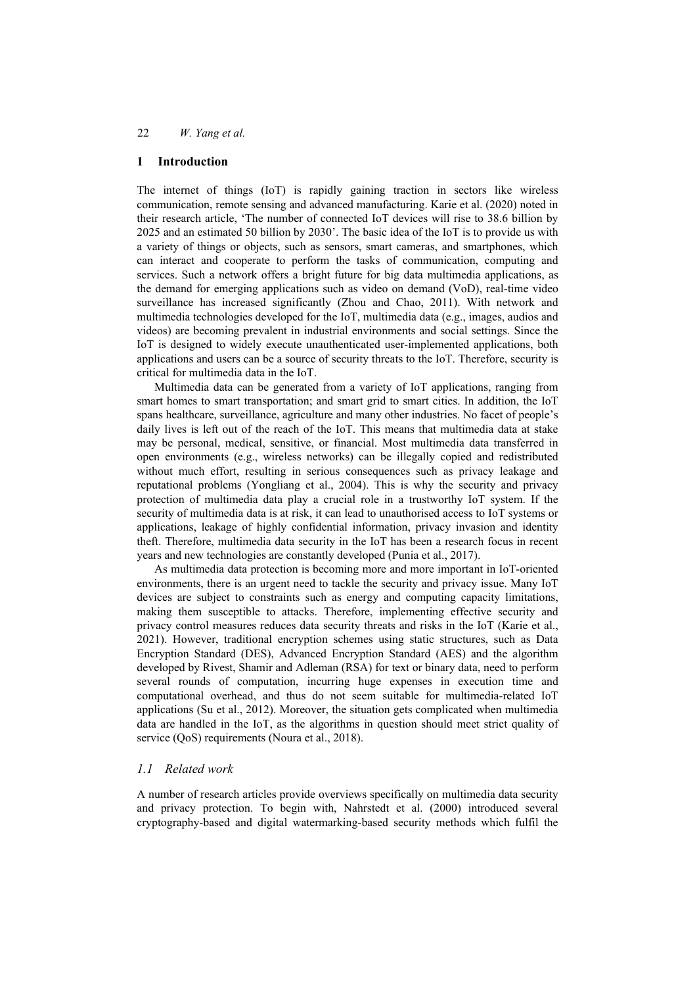### **1 Introduction**

The internet of things (IoT) is rapidly gaining traction in sectors like wireless communication, remote sensing and advanced manufacturing. Karie et al. (2020) noted in their research article, 'The number of connected IoT devices will rise to 38.6 billion by 2025 and an estimated 50 billion by 2030'. The basic idea of the IoT is to provide us with a variety of things or objects, such as sensors, smart cameras, and smartphones, which can interact and cooperate to perform the tasks of communication, computing and services. Such a network offers a bright future for big data multimedia applications, as the demand for emerging applications such as video on demand (VoD), real-time video surveillance has increased significantly (Zhou and Chao, 2011). With network and multimedia technologies developed for the IoT, multimedia data (e.g., images, audios and videos) are becoming prevalent in industrial environments and social settings. Since the IoT is designed to widely execute unauthenticated user-implemented applications, both applications and users can be a source of security threats to the IoT. Therefore, security is critical for multimedia data in the IoT.

Multimedia data can be generated from a variety of IoT applications, ranging from smart homes to smart transportation; and smart grid to smart cities. In addition, the IoT spans healthcare, surveillance, agriculture and many other industries. No facet of people's daily lives is left out of the reach of the IoT. This means that multimedia data at stake may be personal, medical, sensitive, or financial. Most multimedia data transferred in open environments (e.g., wireless networks) can be illegally copied and redistributed without much effort, resulting in serious consequences such as privacy leakage and reputational problems (Yongliang et al., 2004). This is why the security and privacy protection of multimedia data play a crucial role in a trustworthy IoT system. If the security of multimedia data is at risk, it can lead to unauthorised access to IoT systems or applications, leakage of highly confidential information, privacy invasion and identity theft. Therefore, multimedia data security in the IoT has been a research focus in recent years and new technologies are constantly developed (Punia et al., 2017).

As multimedia data protection is becoming more and more important in IoT-oriented environments, there is an urgent need to tackle the security and privacy issue. Many IoT devices are subject to constraints such as energy and computing capacity limitations, making them susceptible to attacks. Therefore, implementing effective security and privacy control measures reduces data security threats and risks in the IoT (Karie et al., 2021). However, traditional encryption schemes using static structures, such as Data Encryption Standard (DES), Advanced Encryption Standard (AES) and the algorithm developed by Rivest, Shamir and Adleman (RSA) for text or binary data, need to perform several rounds of computation, incurring huge expenses in execution time and computational overhead, and thus do not seem suitable for multimedia-related IoT applications (Su et al., 2012). Moreover, the situation gets complicated when multimedia data are handled in the IoT, as the algorithms in question should meet strict quality of service (QoS) requirements (Noura et al., 2018).

## *1.1 Related work*

A number of research articles provide overviews specifically on multimedia data security and privacy protection. To begin with, Nahrstedt et al. (2000) introduced several cryptography-based and digital watermarking-based security methods which fulfil the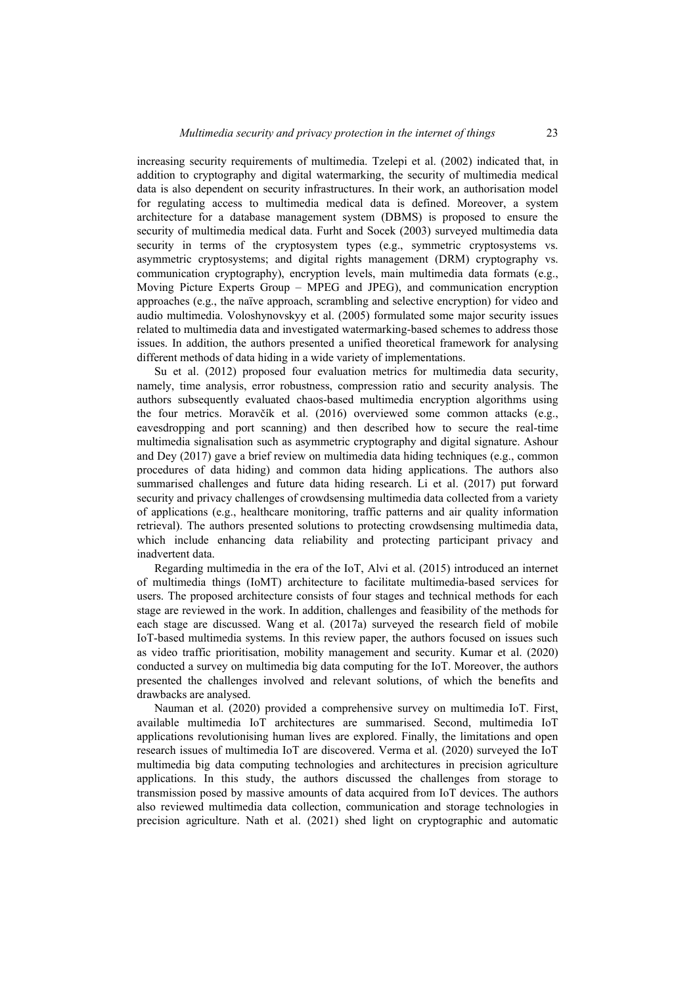increasing security requirements of multimedia. Tzelepi et al. (2002) indicated that, in addition to cryptography and digital watermarking, the security of multimedia medical data is also dependent on security infrastructures. In their work, an authorisation model for regulating access to multimedia medical data is defined. Moreover, a system architecture for a database management system (DBMS) is proposed to ensure the security of multimedia medical data. Furht and Socek (2003) surveyed multimedia data security in terms of the cryptosystem types (e.g., symmetric cryptosystems vs. asymmetric cryptosystems; and digital rights management (DRM) cryptography vs. communication cryptography), encryption levels, main multimedia data formats (e.g., Moving Picture Experts Group – MPEG and JPEG), and communication encryption approaches (e.g., the naïve approach, scrambling and selective encryption) for video and audio multimedia. Voloshynovskyy et al. (2005) formulated some major security issues related to multimedia data and investigated watermarking-based schemes to address those issues. In addition, the authors presented a unified theoretical framework for analysing different methods of data hiding in a wide variety of implementations.

Su et al. (2012) proposed four evaluation metrics for multimedia data security, namely, time analysis, error robustness, compression ratio and security analysis. The authors subsequently evaluated chaos-based multimedia encryption algorithms using the four metrics. Moravčík et al. (2016) overviewed some common attacks (e.g., eavesdropping and port scanning) and then described how to secure the real-time multimedia signalisation such as asymmetric cryptography and digital signature. Ashour and Dey (2017) gave a brief review on multimedia data hiding techniques (e.g., common procedures of data hiding) and common data hiding applications. The authors also summarised challenges and future data hiding research. Li et al. (2017) put forward security and privacy challenges of crowdsensing multimedia data collected from a variety of applications (e.g., healthcare monitoring, traffic patterns and air quality information retrieval). The authors presented solutions to protecting crowdsensing multimedia data, which include enhancing data reliability and protecting participant privacy and inadvertent data.

Regarding multimedia in the era of the IoT, Alvi et al. (2015) introduced an internet of multimedia things (IoMT) architecture to facilitate multimedia-based services for users. The proposed architecture consists of four stages and technical methods for each stage are reviewed in the work. In addition, challenges and feasibility of the methods for each stage are discussed. Wang et al. (2017a) surveyed the research field of mobile IoT-based multimedia systems. In this review paper, the authors focused on issues such as video traffic prioritisation, mobility management and security. Kumar et al. (2020) conducted a survey on multimedia big data computing for the IoT. Moreover, the authors presented the challenges involved and relevant solutions, of which the benefits and drawbacks are analysed.

Nauman et al. (2020) provided a comprehensive survey on multimedia IoT. First, available multimedia IoT architectures are summarised. Second, multimedia IoT applications revolutionising human lives are explored. Finally, the limitations and open research issues of multimedia IoT are discovered. Verma et al. (2020) surveyed the IoT multimedia big data computing technologies and architectures in precision agriculture applications. In this study, the authors discussed the challenges from storage to transmission posed by massive amounts of data acquired from IoT devices. The authors also reviewed multimedia data collection, communication and storage technologies in precision agriculture. Nath et al. (2021) shed light on cryptographic and automatic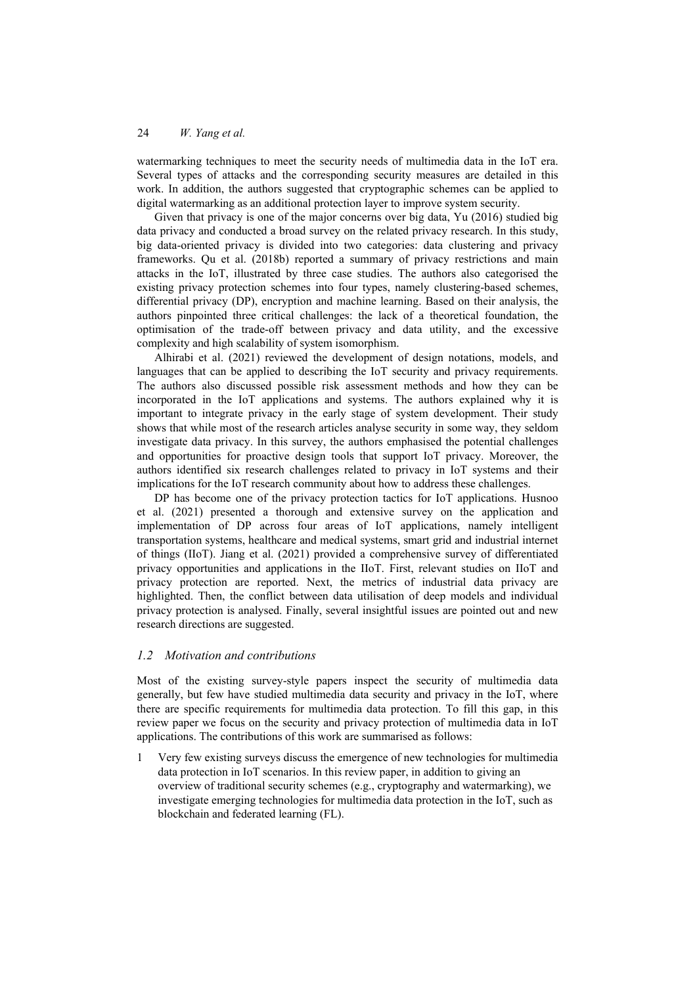watermarking techniques to meet the security needs of multimedia data in the IoT era. Several types of attacks and the corresponding security measures are detailed in this work. In addition, the authors suggested that cryptographic schemes can be applied to digital watermarking as an additional protection layer to improve system security.

Given that privacy is one of the major concerns over big data, Yu (2016) studied big data privacy and conducted a broad survey on the related privacy research. In this study, big data-oriented privacy is divided into two categories: data clustering and privacy frameworks. Qu et al. (2018b) reported a summary of privacy restrictions and main attacks in the IoT, illustrated by three case studies. The authors also categorised the existing privacy protection schemes into four types, namely clustering-based schemes, differential privacy (DP), encryption and machine learning. Based on their analysis, the authors pinpointed three critical challenges: the lack of a theoretical foundation, the optimisation of the trade-off between privacy and data utility, and the excessive complexity and high scalability of system isomorphism.

Alhirabi et al. (2021) reviewed the development of design notations, models, and languages that can be applied to describing the IoT security and privacy requirements. The authors also discussed possible risk assessment methods and how they can be incorporated in the IoT applications and systems. The authors explained why it is important to integrate privacy in the early stage of system development. Their study shows that while most of the research articles analyse security in some way, they seldom investigate data privacy. In this survey, the authors emphasised the potential challenges and opportunities for proactive design tools that support IoT privacy. Moreover, the authors identified six research challenges related to privacy in IoT systems and their implications for the IoT research community about how to address these challenges.

DP has become one of the privacy protection tactics for IoT applications. Husnoo et al. (2021) presented a thorough and extensive survey on the application and implementation of DP across four areas of IoT applications, namely intelligent transportation systems, healthcare and medical systems, smart grid and industrial internet of things (IIoT). Jiang et al. (2021) provided a comprehensive survey of differentiated privacy opportunities and applications in the IIoT. First, relevant studies on IIoT and privacy protection are reported. Next, the metrics of industrial data privacy are highlighted. Then, the conflict between data utilisation of deep models and individual privacy protection is analysed. Finally, several insightful issues are pointed out and new research directions are suggested.

## *1.2 Motivation and contributions*

Most of the existing survey-style papers inspect the security of multimedia data generally, but few have studied multimedia data security and privacy in the IoT, where there are specific requirements for multimedia data protection. To fill this gap, in this review paper we focus on the security and privacy protection of multimedia data in IoT applications. The contributions of this work are summarised as follows:

1 Very few existing surveys discuss the emergence of new technologies for multimedia data protection in IoT scenarios. In this review paper, in addition to giving an overview of traditional security schemes (e.g., cryptography and watermarking), we investigate emerging technologies for multimedia data protection in the IoT, such as blockchain and federated learning (FL).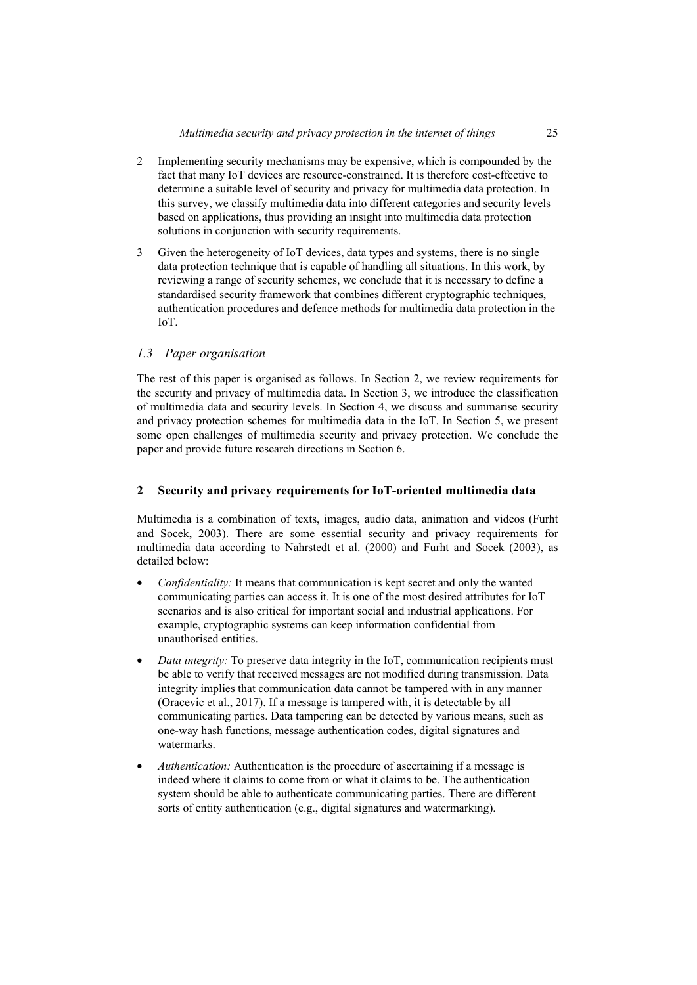- 2 Implementing security mechanisms may be expensive, which is compounded by the fact that many IoT devices are resource-constrained. It is therefore cost-effective to determine a suitable level of security and privacy for multimedia data protection. In this survey, we classify multimedia data into different categories and security levels based on applications, thus providing an insight into multimedia data protection solutions in conjunction with security requirements.
- 3 Given the heterogeneity of IoT devices, data types and systems, there is no single data protection technique that is capable of handling all situations. In this work, by reviewing a range of security schemes, we conclude that it is necessary to define a standardised security framework that combines different cryptographic techniques, authentication procedures and defence methods for multimedia data protection in the IoT.

## *1.3 Paper organisation*

The rest of this paper is organised as follows. In Section 2, we review requirements for the security and privacy of multimedia data. In Section 3, we introduce the classification of multimedia data and security levels. In Section 4, we discuss and summarise security and privacy protection schemes for multimedia data in the IoT. In Section 5, we present some open challenges of multimedia security and privacy protection. We conclude the paper and provide future research directions in Section 6.

## **2 Security and privacy requirements for IoT-oriented multimedia data**

Multimedia is a combination of texts, images, audio data, animation and videos (Furht and Socek, 2003). There are some essential security and privacy requirements for multimedia data according to Nahrstedt et al. (2000) and Furht and Socek (2003), as detailed below:

- *Confidentiality:* It means that communication is kept secret and only the wanted communicating parties can access it. It is one of the most desired attributes for IoT scenarios and is also critical for important social and industrial applications. For example, cryptographic systems can keep information confidential from unauthorised entities.
- *Data integrity:* To preserve data integrity in the IoT, communication recipients must be able to verify that received messages are not modified during transmission. Data integrity implies that communication data cannot be tampered with in any manner (Oracevic et al., 2017). If a message is tampered with, it is detectable by all communicating parties. Data tampering can be detected by various means, such as one-way hash functions, message authentication codes, digital signatures and watermarks.
- *Authentication:* Authentication is the procedure of ascertaining if a message is indeed where it claims to come from or what it claims to be. The authentication system should be able to authenticate communicating parties. There are different sorts of entity authentication (e.g., digital signatures and watermarking).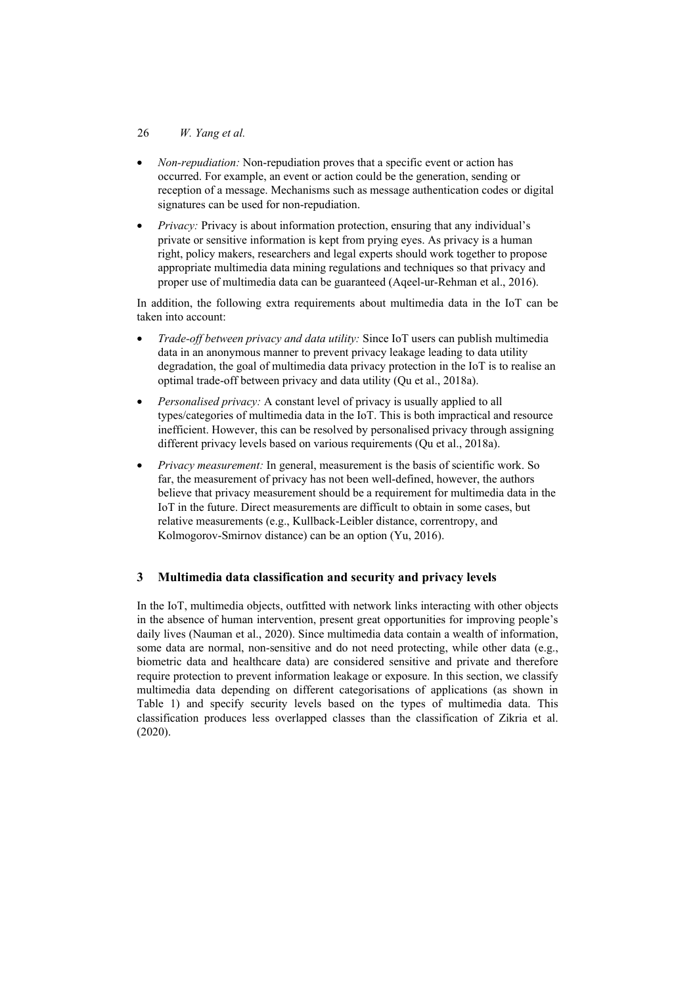### 26 *W. Yang et al.*

- *Non-repudiation:* Non-repudiation proves that a specific event or action has occurred. For example, an event or action could be the generation, sending or reception of a message. Mechanisms such as message authentication codes or digital signatures can be used for non-repudiation.
- *Privacy:* Privacy is about information protection, ensuring that any individual's private or sensitive information is kept from prying eyes. As privacy is a human right, policy makers, researchers and legal experts should work together to propose appropriate multimedia data mining regulations and techniques so that privacy and proper use of multimedia data can be guaranteed (Aqeel-ur-Rehman et al., 2016).

In addition, the following extra requirements about multimedia data in the IoT can be taken into account:

- *Trade-off between privacy and data utility:* Since IoT users can publish multimedia data in an anonymous manner to prevent privacy leakage leading to data utility degradation, the goal of multimedia data privacy protection in the IoT is to realise an optimal trade-off between privacy and data utility (Qu et al., 2018a).
- *Personalised privacy:* A constant level of privacy is usually applied to all types/categories of multimedia data in the IoT. This is both impractical and resource inefficient. However, this can be resolved by personalised privacy through assigning different privacy levels based on various requirements (Qu et al., 2018a).
- *Privacy measurement:* In general, measurement is the basis of scientific work. So far, the measurement of privacy has not been well-defined, however, the authors believe that privacy measurement should be a requirement for multimedia data in the IoT in the future. Direct measurements are difficult to obtain in some cases, but relative measurements (e.g., Kullback-Leibler distance, correntropy, and Kolmogorov-Smirnov distance) can be an option (Yu, 2016).

## **3 Multimedia data classification and security and privacy levels**

In the IoT, multimedia objects, outfitted with network links interacting with other objects in the absence of human intervention, present great opportunities for improving people's daily lives (Nauman et al., 2020). Since multimedia data contain a wealth of information, some data are normal, non-sensitive and do not need protecting, while other data (e.g., biometric data and healthcare data) are considered sensitive and private and therefore require protection to prevent information leakage or exposure. In this section, we classify multimedia data depending on different categorisations of applications (as shown in Table 1) and specify security levels based on the types of multimedia data. This classification produces less overlapped classes than the classification of Zikria et al. (2020).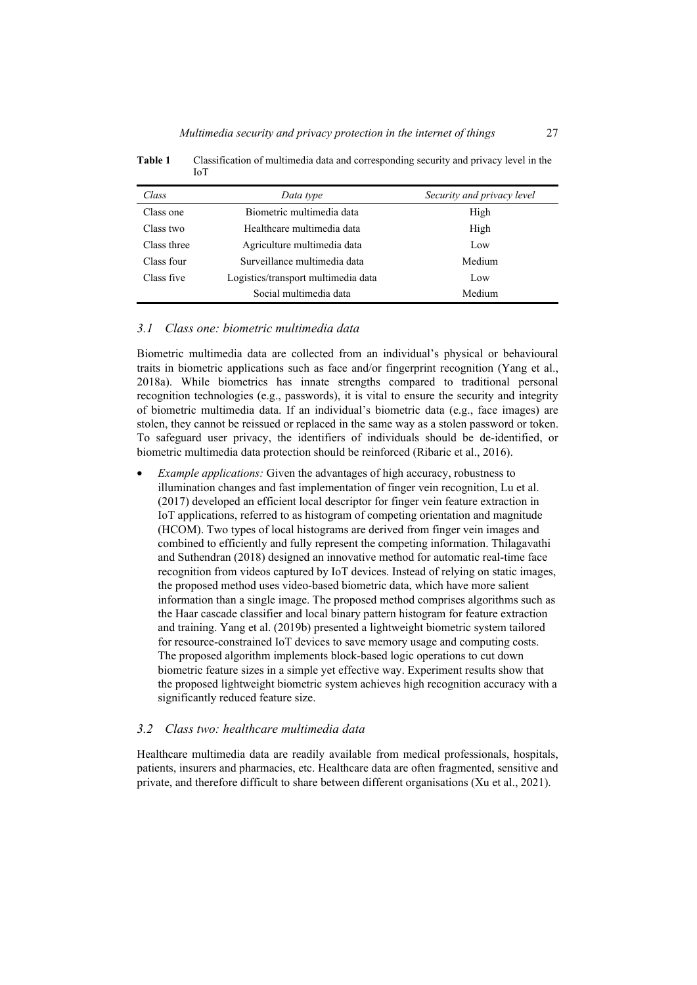| Class       | Data type                           | Security and privacy level |
|-------------|-------------------------------------|----------------------------|
| Class one   | Biometric multimedia data           | High                       |
| Class two   | Healthcare multimedia data          | High                       |
| Class three | Agriculture multimedia data         | Low                        |
| Class four  | Surveillance multimedia data        | Medium                     |
| Class five  | Logistics/transport multimedia data | Low                        |
|             | Social multimedia data              | Medium                     |

**Table 1** Classification of multimedia data and corresponding security and privacy level in the IoT

#### *3.1 Class one: biometric multimedia data*

Biometric multimedia data are collected from an individual's physical or behavioural traits in biometric applications such as face and/or fingerprint recognition (Yang et al., 2018a). While biometrics has innate strengths compared to traditional personal recognition technologies (e.g., passwords), it is vital to ensure the security and integrity of biometric multimedia data. If an individual's biometric data (e.g., face images) are stolen, they cannot be reissued or replaced in the same way as a stolen password or token. To safeguard user privacy, the identifiers of individuals should be de-identified, or biometric multimedia data protection should be reinforced (Ribaric et al., 2016).

• *Example applications:* Given the advantages of high accuracy, robustness to illumination changes and fast implementation of finger vein recognition, Lu et al. (2017) developed an efficient local descriptor for finger vein feature extraction in IoT applications, referred to as histogram of competing orientation and magnitude (HCOM). Two types of local histograms are derived from finger vein images and combined to efficiently and fully represent the competing information. Thilagavathi and Suthendran (2018) designed an innovative method for automatic real-time face recognition from videos captured by IoT devices. Instead of relying on static images, the proposed method uses video-based biometric data, which have more salient information than a single image. The proposed method comprises algorithms such as the Haar cascade classifier and local binary pattern histogram for feature extraction and training. Yang et al. (2019b) presented a lightweight biometric system tailored for resource-constrained IoT devices to save memory usage and computing costs. The proposed algorithm implements block-based logic operations to cut down biometric feature sizes in a simple yet effective way. Experiment results show that the proposed lightweight biometric system achieves high recognition accuracy with a significantly reduced feature size.

#### *3.2 Class two: healthcare multimedia data*

Healthcare multimedia data are readily available from medical professionals, hospitals, patients, insurers and pharmacies, etc. Healthcare data are often fragmented, sensitive and private, and therefore difficult to share between different organisations (Xu et al., 2021).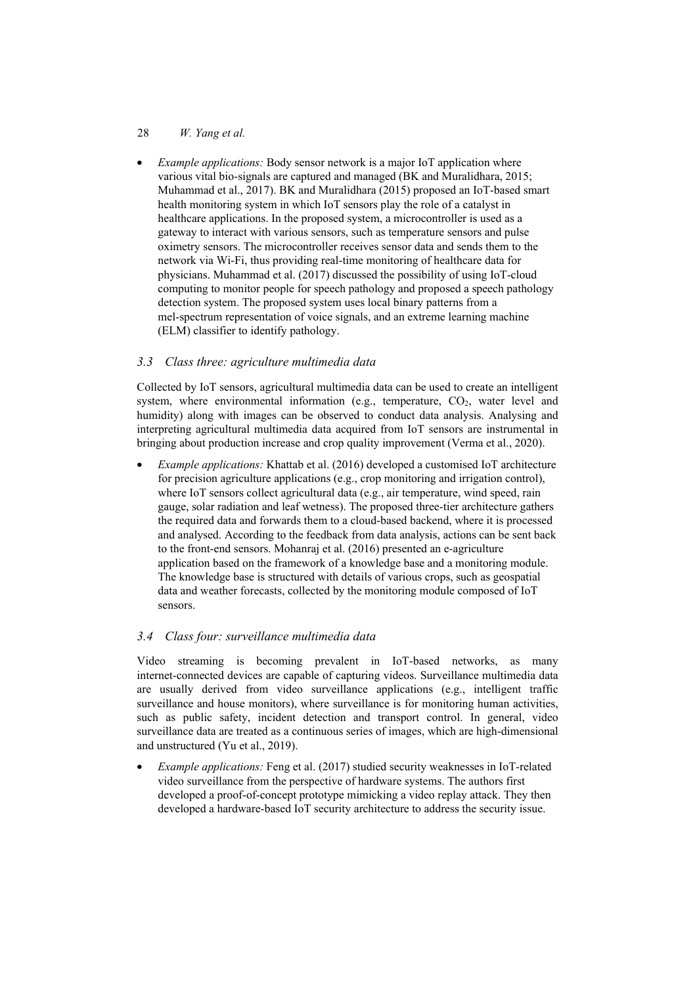### 28 *W. Yang et al.*

• *Example applications:* Body sensor network is a major IoT application where various vital bio-signals are captured and managed (BK and Muralidhara, 2015; Muhammad et al., 2017). BK and Muralidhara (2015) proposed an IoT-based smart health monitoring system in which IoT sensors play the role of a catalyst in healthcare applications. In the proposed system, a microcontroller is used as a gateway to interact with various sensors, such as temperature sensors and pulse oximetry sensors. The microcontroller receives sensor data and sends them to the network via Wi-Fi, thus providing real-time monitoring of healthcare data for physicians. Muhammad et al. (2017) discussed the possibility of using IoT-cloud computing to monitor people for speech pathology and proposed a speech pathology detection system. The proposed system uses local binary patterns from a mel-spectrum representation of voice signals, and an extreme learning machine (ELM) classifier to identify pathology.

## *3.3 Class three: agriculture multimedia data*

Collected by IoT sensors, agricultural multimedia data can be used to create an intelligent system, where environmental information (e.g., temperature,  $CO<sub>2</sub>$ , water level and humidity) along with images can be observed to conduct data analysis. Analysing and interpreting agricultural multimedia data acquired from IoT sensors are instrumental in bringing about production increase and crop quality improvement (Verma et al., 2020).

• *Example applications:* Khattab et al. (2016) developed a customised IoT architecture for precision agriculture applications (e.g., crop monitoring and irrigation control), where IoT sensors collect agricultural data (e.g., air temperature, wind speed, rain gauge, solar radiation and leaf wetness). The proposed three-tier architecture gathers the required data and forwards them to a cloud-based backend, where it is processed and analysed. According to the feedback from data analysis, actions can be sent back to the front-end sensors. Mohanraj et al. (2016) presented an e-agriculture application based on the framework of a knowledge base and a monitoring module. The knowledge base is structured with details of various crops, such as geospatial data and weather forecasts, collected by the monitoring module composed of IoT sensors.

## *3.4 Class four: surveillance multimedia data*

Video streaming is becoming prevalent in IoT-based networks, as many internet-connected devices are capable of capturing videos. Surveillance multimedia data are usually derived from video surveillance applications (e.g., intelligent traffic surveillance and house monitors), where surveillance is for monitoring human activities, such as public safety, incident detection and transport control. In general, video surveillance data are treated as a continuous series of images, which are high-dimensional and unstructured (Yu et al., 2019).

• *Example applications:* Feng et al. (2017) studied security weaknesses in IoT-related video surveillance from the perspective of hardware systems. The authors first developed a proof-of-concept prototype mimicking a video replay attack. They then developed a hardware-based IoT security architecture to address the security issue.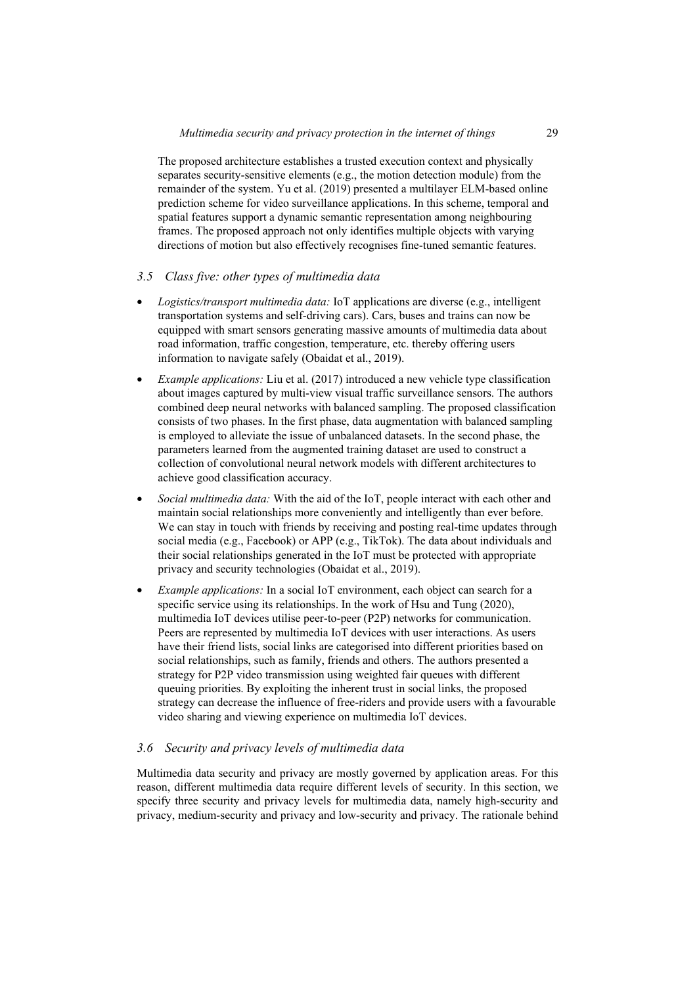The proposed architecture establishes a trusted execution context and physically separates security-sensitive elements (e.g., the motion detection module) from the remainder of the system. Yu et al. (2019) presented a multilayer ELM-based online prediction scheme for video surveillance applications. In this scheme, temporal and spatial features support a dynamic semantic representation among neighbouring frames. The proposed approach not only identifies multiple objects with varying directions of motion but also effectively recognises fine-tuned semantic features.

## *3.5 Class five: other types of multimedia data*

- *Logistics/transport multimedia data:* IoT applications are diverse (e.g., intelligent transportation systems and self-driving cars). Cars, buses and trains can now be equipped with smart sensors generating massive amounts of multimedia data about road information, traffic congestion, temperature, etc. thereby offering users information to navigate safely (Obaidat et al., 2019).
- *Example applications:* Liu et al. (2017) introduced a new vehicle type classification about images captured by multi-view visual traffic surveillance sensors. The authors combined deep neural networks with balanced sampling. The proposed classification consists of two phases. In the first phase, data augmentation with balanced sampling is employed to alleviate the issue of unbalanced datasets. In the second phase, the parameters learned from the augmented training dataset are used to construct a collection of convolutional neural network models with different architectures to achieve good classification accuracy.
- *Social multimedia data:* With the aid of the IoT, people interact with each other and maintain social relationships more conveniently and intelligently than ever before. We can stay in touch with friends by receiving and posting real-time updates through social media (e.g., Facebook) or APP (e.g., TikTok). The data about individuals and their social relationships generated in the IoT must be protected with appropriate privacy and security technologies (Obaidat et al., 2019).
- *Example applications:* In a social IoT environment, each object can search for a specific service using its relationships. In the work of Hsu and Tung (2020), multimedia IoT devices utilise peer-to-peer (P2P) networks for communication. Peers are represented by multimedia IoT devices with user interactions. As users have their friend lists, social links are categorised into different priorities based on social relationships, such as family, friends and others. The authors presented a strategy for P2P video transmission using weighted fair queues with different queuing priorities. By exploiting the inherent trust in social links, the proposed strategy can decrease the influence of free-riders and provide users with a favourable video sharing and viewing experience on multimedia IoT devices.

## *3.6 Security and privacy levels of multimedia data*

Multimedia data security and privacy are mostly governed by application areas. For this reason, different multimedia data require different levels of security. In this section, we specify three security and privacy levels for multimedia data, namely high-security and privacy, medium-security and privacy and low-security and privacy. The rationale behind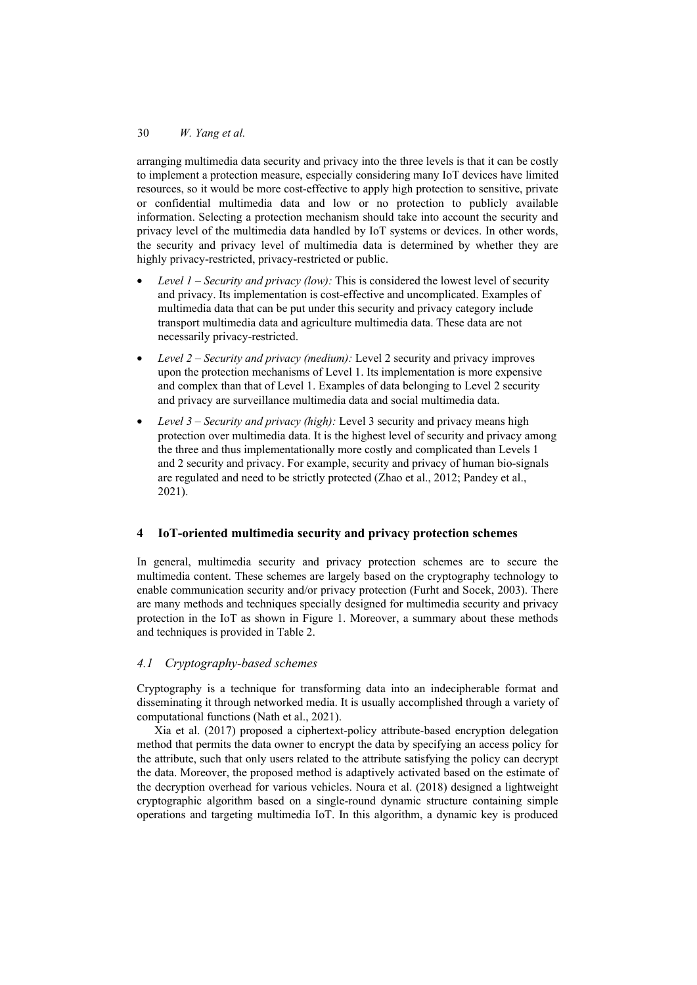arranging multimedia data security and privacy into the three levels is that it can be costly to implement a protection measure, especially considering many IoT devices have limited resources, so it would be more cost-effective to apply high protection to sensitive, private or confidential multimedia data and low or no protection to publicly available information. Selecting a protection mechanism should take into account the security and privacy level of the multimedia data handled by IoT systems or devices. In other words, the security and privacy level of multimedia data is determined by whether they are highly privacy-restricted, privacy-restricted or public.

- *Level 1 Security and privacy (low):* This is considered the lowest level of security and privacy. Its implementation is cost-effective and uncomplicated. Examples of multimedia data that can be put under this security and privacy category include transport multimedia data and agriculture multimedia data. These data are not necessarily privacy-restricted.
- *Level 2 Security and privacy (medium):* Level 2 security and privacy improves upon the protection mechanisms of Level 1. Its implementation is more expensive and complex than that of Level 1. Examples of data belonging to Level 2 security and privacy are surveillance multimedia data and social multimedia data.
- *Level 3 Security and privacy (high):* Level 3 security and privacy means high protection over multimedia data. It is the highest level of security and privacy among the three and thus implementationally more costly and complicated than Levels 1 and 2 security and privacy. For example, security and privacy of human bio-signals are regulated and need to be strictly protected (Zhao et al., 2012; Pandey et al., 2021).

## **4 IoT-oriented multimedia security and privacy protection schemes**

In general, multimedia security and privacy protection schemes are to secure the multimedia content. These schemes are largely based on the cryptography technology to enable communication security and/or privacy protection (Furht and Socek, 2003). There are many methods and techniques specially designed for multimedia security and privacy protection in the IoT as shown in Figure 1. Moreover, a summary about these methods and techniques is provided in Table 2.

## *4.1 Cryptography-based schemes*

Cryptography is a technique for transforming data into an indecipherable format and disseminating it through networked media. It is usually accomplished through a variety of computational functions (Nath et al., 2021).

Xia et al. (2017) proposed a ciphertext-policy attribute-based encryption delegation method that permits the data owner to encrypt the data by specifying an access policy for the attribute, such that only users related to the attribute satisfying the policy can decrypt the data. Moreover, the proposed method is adaptively activated based on the estimate of the decryption overhead for various vehicles. Noura et al. (2018) designed a lightweight cryptographic algorithm based on a single-round dynamic structure containing simple operations and targeting multimedia IoT. In this algorithm, a dynamic key is produced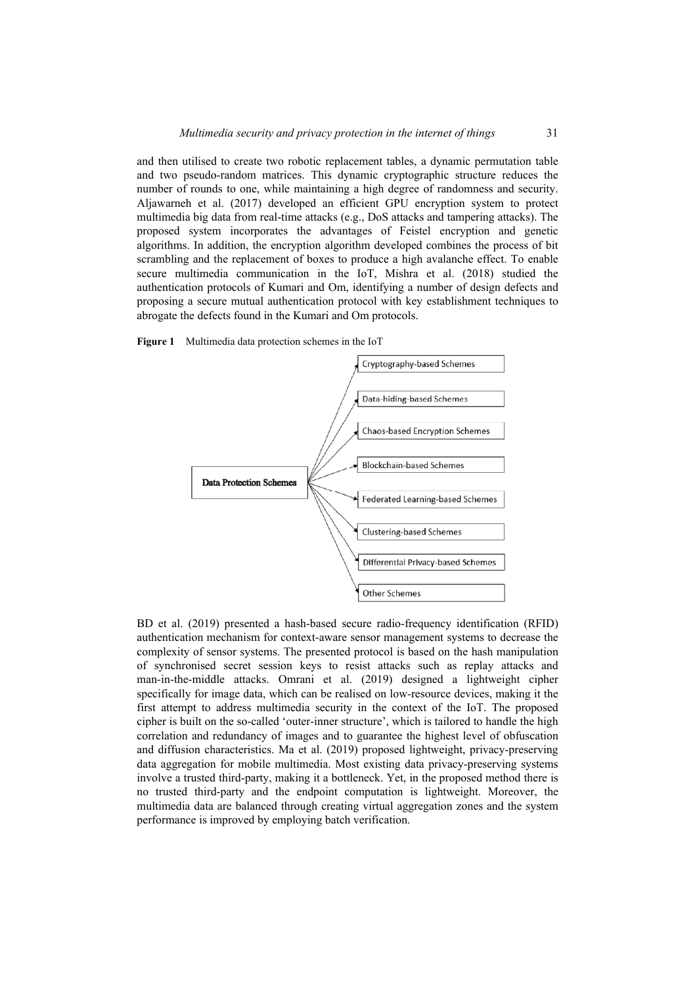and then utilised to create two robotic replacement tables, a dynamic permutation table and two pseudo-random matrices. This dynamic cryptographic structure reduces the number of rounds to one, while maintaining a high degree of randomness and security. Aljawarneh et al. (2017) developed an efficient GPU encryption system to protect multimedia big data from real-time attacks (e.g., DoS attacks and tampering attacks). The proposed system incorporates the advantages of Feistel encryption and genetic algorithms. In addition, the encryption algorithm developed combines the process of bit scrambling and the replacement of boxes to produce a high avalanche effect. To enable secure multimedia communication in the IoT, Mishra et al. (2018) studied the authentication protocols of Kumari and Om, identifying a number of design defects and proposing a secure mutual authentication protocol with key establishment techniques to abrogate the defects found in the Kumari and Om protocols.





BD et al. (2019) presented a hash-based secure radio-frequency identification (RFID) authentication mechanism for context-aware sensor management systems to decrease the complexity of sensor systems. The presented protocol is based on the hash manipulation of synchronised secret session keys to resist attacks such as replay attacks and man-in-the-middle attacks. Omrani et al. (2019) designed a lightweight cipher specifically for image data, which can be realised on low-resource devices, making it the first attempt to address multimedia security in the context of the IoT. The proposed cipher is built on the so-called 'outer-inner structure', which is tailored to handle the high correlation and redundancy of images and to guarantee the highest level of obfuscation and diffusion characteristics. Ma et al. (2019) proposed lightweight, privacy-preserving data aggregation for mobile multimedia. Most existing data privacy-preserving systems involve a trusted third-party, making it a bottleneck. Yet, in the proposed method there is no trusted third-party and the endpoint computation is lightweight. Moreover, the multimedia data are balanced through creating virtual aggregation zones and the system performance is improved by employing batch verification.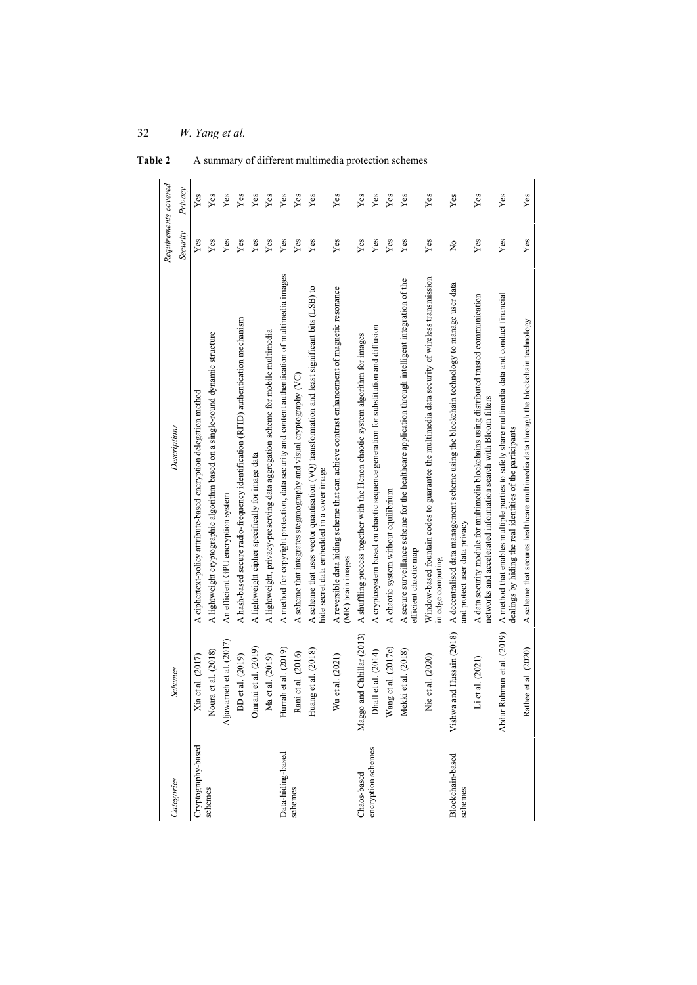| Categories                  | Schemes                    | Descriptions                                                                                                                                                | Requirements covered |             |
|-----------------------------|----------------------------|-------------------------------------------------------------------------------------------------------------------------------------------------------------|----------------------|-------------|
|                             |                            |                                                                                                                                                             | Security             | Privacy     |
| Cryptography-based          | Xia et al. (2017)          | A ciphertext-policy attribute-based encryption delegation method                                                                                            | Yes                  | Yes         |
| schemes                     | Noura et al. (2018)        | A lightweight cryptographic algorithm based on a single-round dynamic structure                                                                             | Yes                  | Yes         |
|                             | Aljawameh et al. (2017)    | An efficient GPU encryption system                                                                                                                          | Yes                  | Yes         |
|                             | BD et al. (2019)           | A hash-based secure radio-frequency identification (RFID) authentication mechanism                                                                          | Yes                  | Yes         |
|                             | Omrani et al. (2019)       | A lightweight cipher specifically for image data                                                                                                            | Yes                  | Yes         |
|                             | Ma et al. (2019)           | A lightweight, privacy-preserving data aggregation scheme for mobile multimedia                                                                             | Yes                  | Yes         |
| Data-hiding-based           | Hurrah et al. (2019)       | A method for copyright protection, data security and content authentication of multimedia images                                                            | Yes                  | Yes         |
| schemes                     | Rani et al. (2016)         | A scheme that integrates steganography and visual cryptography (VC)                                                                                         | Yes                  | Yes         |
|                             | Huang et al. (2018)        | A scheme that uses vector quantisation (VQ) transformation and least significant bits (LSB) to<br>hide secret data embedded in a cover image                | Yes                  | Yes         |
|                             | Wu et al. (2021)           | A reversible data hiding scheme that can achieve contrast enhancement of magnetic resonance<br>(MR) brain images                                            | Yes                  | Yes         |
| Chaos-based                 | Maggo and Chhillar (2013)  | A shuffling process together with the Henon chaotic system algorithm for images                                                                             | Yes                  | Yes         |
| encryption schemes          | Dhall et al. (2014)        | A cryptosystem based on chaotic sequence generation for substitution and diffusion                                                                          | ${\it Yes}$          | ${\rm Yes}$ |
|                             | Wang et al. (2017c)        | A chaotic system without equilibrium                                                                                                                        | Yes                  | Yes         |
|                             | Mekki et al. (2018)        | A secure surveillance scheme for the healthcare application through intelligent integration of the<br>efficient chaotic map                                 | Yes                  | Yes         |
|                             | et al. (2020)<br><b>Z</b>  | Window-based fountain codes to guarantee the multimedia data security of wireless transmission<br>in edge computing                                         | Yes                  | Yes         |
| Blockchain-based<br>schemes | Vishwa and Hussain (2018)  | A decentralised data management scheme using the blockchain technology to manage user data<br>and protect user data privacy                                 | ž                    | Yes         |
|                             | et al. (2021)<br>Ë         | A data security module for multimedia blockchains using distributed trusted communication<br>networks and accelerated information search with Bloom filters | Yes                  | Yes         |
|                             | Abdur Rahman et al. (2019) | A method that enables multiple parties to safely share multimedia data and conduct financial<br>dealings by hiding the real identities of the participants  | Yes                  | Yes         |
|                             | Rathee et al. (2020)       | A scheme that secures healthcare multimedia data through the blockchain technology                                                                          | Yes                  | Yes         |

Table 2 A summary of different multimedia protection schemes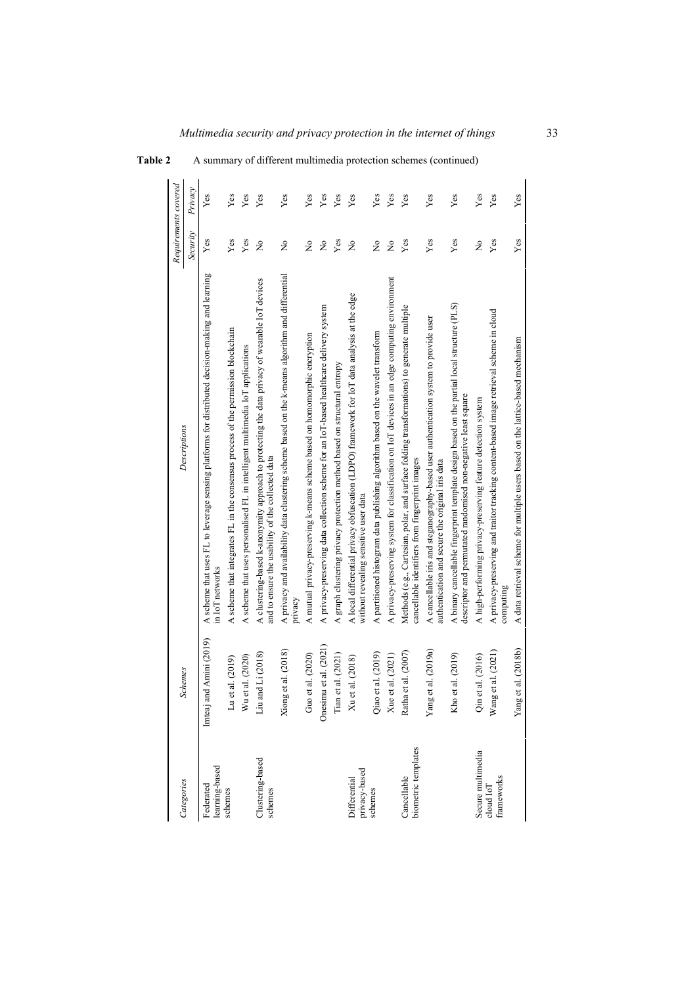| Categories                         | <b>Schemes</b>              | Descriptions                                                                                                                                                  | Requirements covered |         |
|------------------------------------|-----------------------------|---------------------------------------------------------------------------------------------------------------------------------------------------------------|----------------------|---------|
|                                    |                             |                                                                                                                                                               | Security             | Privacy |
| learning-based<br>Federated        | Imteaj and Amini (2019)     | A scheme that uses FL to leverage sensing platforms for distributed decision-making and learning<br>in IoT networks                                           | $\operatorname{Yes}$ | Yes     |
| schemes                            | et al. (2019)<br>$\Xi$      | A scheme that integrates FL in the consensus process of the permission blockchain                                                                             | Yes                  | Yes     |
|                                    | et al. (2020)<br>Wu         | A scheme that uses personalised FL in intelligent multimedia IoT applications                                                                                 | Yes                  | Yes     |
| Clustering-based<br>schemes        | and Li (2018)<br>Liu        | A clustering-based k-anonymity approach to protecting the data privacy of wearable IoT devices<br>and to ensure the usability of the collected data           | $\tilde{z}$          | Yes     |
|                                    | Xiong et al. (2018)         | A privacy and availability data clustering scheme based on the k-means algorithm and differential<br>privacy                                                  | $\tilde{z}$          | Yes     |
|                                    | Guo et al. (2020)           | A mutual privacy-preserving k-means scheme based on homomorphic encryption                                                                                    | $\tilde{z}$          | Yes     |
|                                    | Onesimu et al. (2021)       | A privacy-preserving data collection scheme for an IoT-based healthcare delivery system                                                                       | $\tilde{z}$          | Yes     |
|                                    | Tian et al. (2021)          | A graph clustering privacy protection method based on structural entropy                                                                                      | Yes                  | Yes     |
| privacy-based<br>Differential      | et al. (2018)<br>$\bar{x}$  | A local differential privacy obfuscation (LDPO) framework for IoT data analysis at the edge<br>without revealing sensitive user data                          | $\tilde{z}$          | Yes     |
| schemes                            | Qiao et al. (2019)          | A partitioned histogram data publishing algorithm based on the wavelet transform                                                                              | $\tilde{z}$          | Yes     |
|                                    | Xue et al. (2021)           | A privacy-preserving system for classification on IoT devices in an edge computing environment                                                                | $\frac{1}{2}$        | Yes     |
| biometric templates<br>Cancellable | Ratha et al. (2007)         | Methods (e.g., Cartesian, polar, and surface folding transformations) to generate multiple<br>cancellable identifiers from fingerprint images                 | Yes                  | Yes     |
|                                    | Yang et al. (2019a)         | A cancellable iris and steganography-based user authentication system to provide user<br>authentication and secure the original iris data                     | Yes                  | Yes     |
|                                    | et al. (2019)<br><b>Kho</b> | A binary cancellable fingerprint template design based on the partial local structure (PLS)<br>descriptor and permutated randomised non-negative least square | Yes                  | Yes     |
| Secure multimedia                  | et al. (2016)<br>ĴΞ         | A high-performing privacy-preserving feature detection system                                                                                                 | $\tilde{z}$          | Yes     |
| frameworks<br>cloud IoT            | Wang et al. (2021)          | A privacy-preserving and traitor tracking content-based image retrieval scheme in cloud<br>computing                                                          | Yes                  | Yes     |
|                                    | Yang et al. (2018b)         | A data retrieval scheme for multiple users based on the lattice-based mechanism                                                                               | Yes                  | Yes     |

## **Table 2** A summary of different multimedia protection schemes (continued)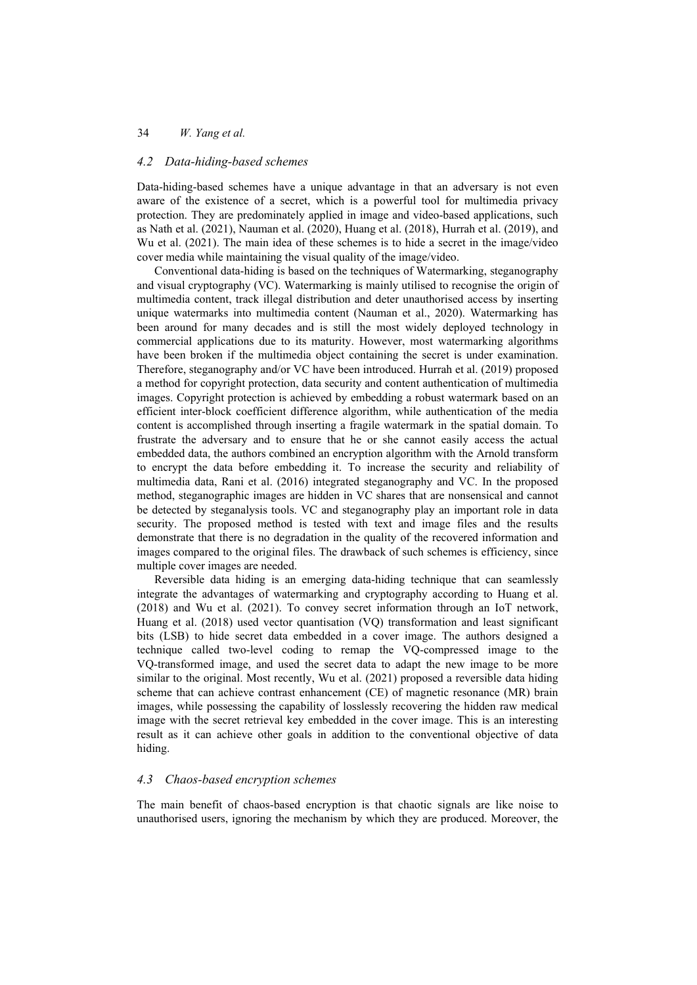#### *4.2 Data-hiding-based schemes*

Data-hiding-based schemes have a unique advantage in that an adversary is not even aware of the existence of a secret, which is a powerful tool for multimedia privacy protection. They are predominately applied in image and video-based applications, such as Nath et al. (2021), Nauman et al. (2020), Huang et al. (2018), Hurrah et al. (2019), and Wu et al. (2021). The main idea of these schemes is to hide a secret in the image/video cover media while maintaining the visual quality of the image/video.

Conventional data-hiding is based on the techniques of Watermarking, steganography and visual cryptography (VC). Watermarking is mainly utilised to recognise the origin of multimedia content, track illegal distribution and deter unauthorised access by inserting unique watermarks into multimedia content (Nauman et al., 2020). Watermarking has been around for many decades and is still the most widely deployed technology in commercial applications due to its maturity. However, most watermarking algorithms have been broken if the multimedia object containing the secret is under examination. Therefore, steganography and/or VC have been introduced. Hurrah et al. (2019) proposed a method for copyright protection, data security and content authentication of multimedia images. Copyright protection is achieved by embedding a robust watermark based on an efficient inter-block coefficient difference algorithm, while authentication of the media content is accomplished through inserting a fragile watermark in the spatial domain. To frustrate the adversary and to ensure that he or she cannot easily access the actual embedded data, the authors combined an encryption algorithm with the Arnold transform to encrypt the data before embedding it. To increase the security and reliability of multimedia data, Rani et al. (2016) integrated steganography and VC. In the proposed method, steganographic images are hidden in VC shares that are nonsensical and cannot be detected by steganalysis tools. VC and steganography play an important role in data security. The proposed method is tested with text and image files and the results demonstrate that there is no degradation in the quality of the recovered information and images compared to the original files. The drawback of such schemes is efficiency, since multiple cover images are needed.

Reversible data hiding is an emerging data-hiding technique that can seamlessly integrate the advantages of watermarking and cryptography according to Huang et al. (2018) and Wu et al. (2021). To convey secret information through an IoT network, Huang et al. (2018) used vector quantisation (VQ) transformation and least significant bits (LSB) to hide secret data embedded in a cover image. The authors designed a technique called two-level coding to remap the VQ-compressed image to the VQ-transformed image, and used the secret data to adapt the new image to be more similar to the original. Most recently, Wu et al. (2021) proposed a reversible data hiding scheme that can achieve contrast enhancement (CE) of magnetic resonance (MR) brain images, while possessing the capability of losslessly recovering the hidden raw medical image with the secret retrieval key embedded in the cover image. This is an interesting result as it can achieve other goals in addition to the conventional objective of data hiding.

### *4.3 Chaos-based encryption schemes*

The main benefit of chaos-based encryption is that chaotic signals are like noise to unauthorised users, ignoring the mechanism by which they are produced. Moreover, the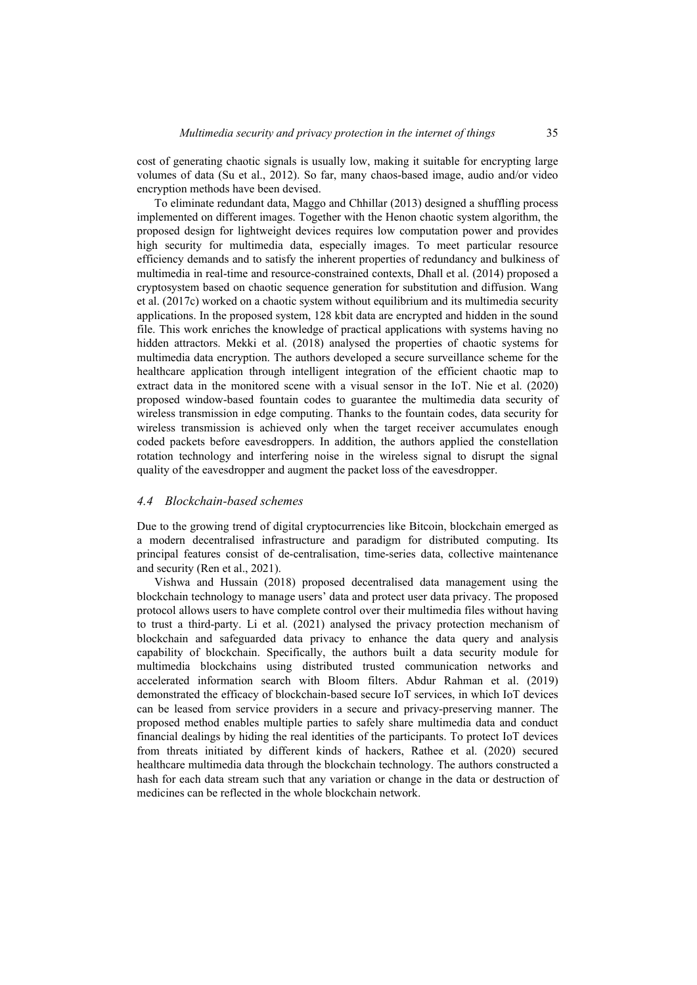cost of generating chaotic signals is usually low, making it suitable for encrypting large volumes of data (Su et al., 2012). So far, many chaos-based image, audio and/or video encryption methods have been devised.

To eliminate redundant data, Maggo and Chhillar (2013) designed a shuffling process implemented on different images. Together with the Henon chaotic system algorithm, the proposed design for lightweight devices requires low computation power and provides high security for multimedia data, especially images. To meet particular resource efficiency demands and to satisfy the inherent properties of redundancy and bulkiness of multimedia in real-time and resource-constrained contexts, Dhall et al. (2014) proposed a cryptosystem based on chaotic sequence generation for substitution and diffusion. Wang et al. (2017c) worked on a chaotic system without equilibrium and its multimedia security applications. In the proposed system, 128 kbit data are encrypted and hidden in the sound file. This work enriches the knowledge of practical applications with systems having no hidden attractors. Mekki et al. (2018) analysed the properties of chaotic systems for multimedia data encryption. The authors developed a secure surveillance scheme for the healthcare application through intelligent integration of the efficient chaotic map to extract data in the monitored scene with a visual sensor in the IoT. Nie et al. (2020) proposed window-based fountain codes to guarantee the multimedia data security of wireless transmission in edge computing. Thanks to the fountain codes, data security for wireless transmission is achieved only when the target receiver accumulates enough coded packets before eavesdroppers. In addition, the authors applied the constellation rotation technology and interfering noise in the wireless signal to disrupt the signal quality of the eavesdropper and augment the packet loss of the eavesdropper.

#### *4.4 Blockchain-based schemes*

Due to the growing trend of digital cryptocurrencies like Bitcoin, blockchain emerged as a modern decentralised infrastructure and paradigm for distributed computing. Its principal features consist of de-centralisation, time-series data, collective maintenance and security (Ren et al., 2021).

Vishwa and Hussain (2018) proposed decentralised data management using the blockchain technology to manage users' data and protect user data privacy. The proposed protocol allows users to have complete control over their multimedia files without having to trust a third-party. Li et al. (2021) analysed the privacy protection mechanism of blockchain and safeguarded data privacy to enhance the data query and analysis capability of blockchain. Specifically, the authors built a data security module for multimedia blockchains using distributed trusted communication networks and accelerated information search with Bloom filters. Abdur Rahman et al. (2019) demonstrated the efficacy of blockchain-based secure IoT services, in which IoT devices can be leased from service providers in a secure and privacy-preserving manner. The proposed method enables multiple parties to safely share multimedia data and conduct financial dealings by hiding the real identities of the participants. To protect IoT devices from threats initiated by different kinds of hackers, Rathee et al. (2020) secured healthcare multimedia data through the blockchain technology. The authors constructed a hash for each data stream such that any variation or change in the data or destruction of medicines can be reflected in the whole blockchain network.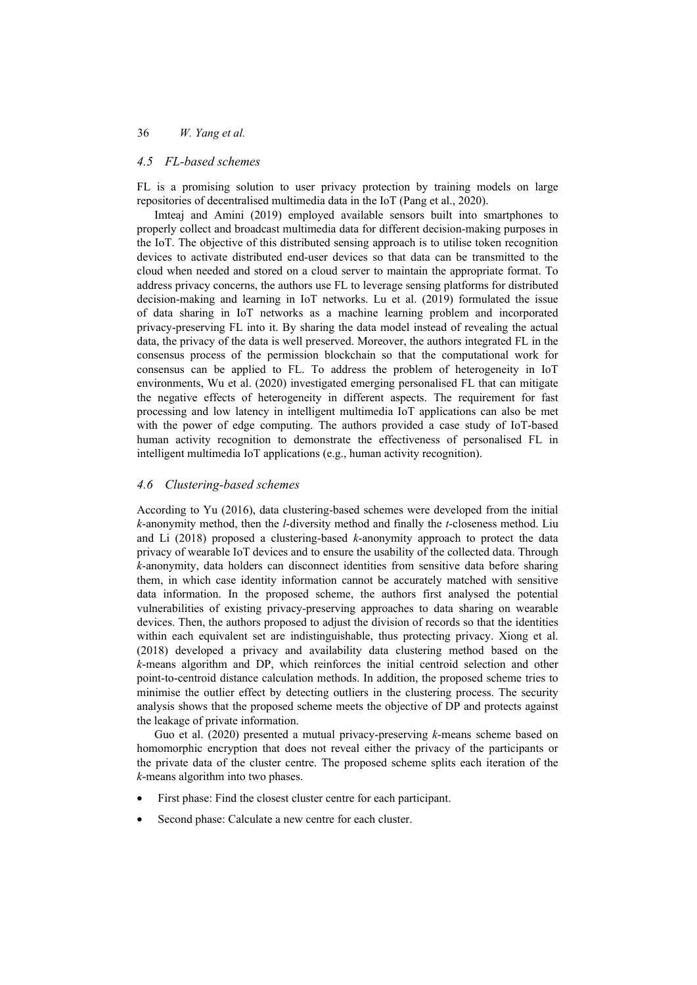#### *4.5 FL-based schemes*

FL is a promising solution to user privacy protection by training models on large repositories of decentralised multimedia data in the IoT (Pang et al., 2020).

Imteaj and Amini (2019) employed available sensors built into smartphones to properly collect and broadcast multimedia data for different decision-making purposes in the IoT. The objective of this distributed sensing approach is to utilise token recognition devices to activate distributed end-user devices so that data can be transmitted to the cloud when needed and stored on a cloud server to maintain the appropriate format. To address privacy concerns, the authors use FL to leverage sensing platforms for distributed decision-making and learning in IoT networks. Lu et al. (2019) formulated the issue of data sharing in IoT networks as a machine learning problem and incorporated privacy-preserving FL into it. By sharing the data model instead of revealing the actual data, the privacy of the data is well preserved. Moreover, the authors integrated FL in the consensus process of the permission blockchain so that the computational work for consensus can be applied to FL. To address the problem of heterogeneity in IoT environments, Wu et al. (2020) investigated emerging personalised FL that can mitigate the negative effects of heterogeneity in different aspects. The requirement for fast processing and low latency in intelligent multimedia IoT applications can also be met with the power of edge computing. The authors provided a case study of IoT-based human activity recognition to demonstrate the effectiveness of personalised FL in intelligent multimedia IoT applications (e.g., human activity recognition).

#### *4.6 Clustering-based schemes*

According to Yu (2016), data clustering-based schemes were developed from the initial *k*-anonymity method, then the *l*-diversity method and finally the *t*-closeness method. Liu and Li (2018) proposed a clustering-based *k*-anonymity approach to protect the data privacy of wearable IoT devices and to ensure the usability of the collected data. Through *k*-anonymity, data holders can disconnect identities from sensitive data before sharing them, in which case identity information cannot be accurately matched with sensitive data information. In the proposed scheme, the authors first analysed the potential vulnerabilities of existing privacy-preserving approaches to data sharing on wearable devices. Then, the authors proposed to adjust the division of records so that the identities within each equivalent set are indistinguishable, thus protecting privacy. Xiong et al. (2018) developed a privacy and availability data clustering method based on the *k*-means algorithm and DP, which reinforces the initial centroid selection and other point-to-centroid distance calculation methods. In addition, the proposed scheme tries to minimise the outlier effect by detecting outliers in the clustering process. The security analysis shows that the proposed scheme meets the objective of DP and protects against the leakage of private information.

Guo et al. (2020) presented a mutual privacy-preserving *k*-means scheme based on homomorphic encryption that does not reveal either the privacy of the participants or the private data of the cluster centre. The proposed scheme splits each iteration of the *k*-means algorithm into two phases.

- First phase: Find the closest cluster centre for each participant.
- Second phase: Calculate a new centre for each cluster.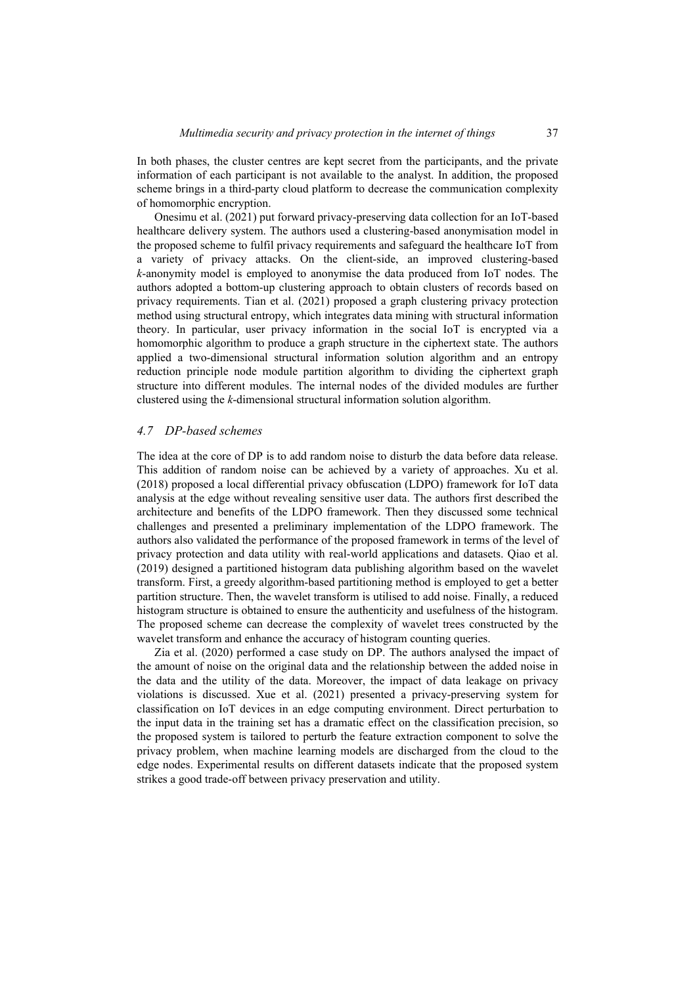In both phases, the cluster centres are kept secret from the participants, and the private information of each participant is not available to the analyst. In addition, the proposed scheme brings in a third-party cloud platform to decrease the communication complexity of homomorphic encryption.

Onesimu et al. (2021) put forward privacy-preserving data collection for an IoT-based healthcare delivery system. The authors used a clustering-based anonymisation model in the proposed scheme to fulfil privacy requirements and safeguard the healthcare IoT from a variety of privacy attacks. On the client-side, an improved clustering-based *k*-anonymity model is employed to anonymise the data produced from IoT nodes. The authors adopted a bottom-up clustering approach to obtain clusters of records based on privacy requirements. Tian et al. (2021) proposed a graph clustering privacy protection method using structural entropy, which integrates data mining with structural information theory. In particular, user privacy information in the social IoT is encrypted via a homomorphic algorithm to produce a graph structure in the ciphertext state. The authors applied a two-dimensional structural information solution algorithm and an entropy reduction principle node module partition algorithm to dividing the ciphertext graph structure into different modules. The internal nodes of the divided modules are further clustered using the *k*-dimensional structural information solution algorithm.

#### *4.7 DP-based schemes*

The idea at the core of DP is to add random noise to disturb the data before data release. This addition of random noise can be achieved by a variety of approaches. Xu et al. (2018) proposed a local differential privacy obfuscation (LDPO) framework for IoT data analysis at the edge without revealing sensitive user data. The authors first described the architecture and benefits of the LDPO framework. Then they discussed some technical challenges and presented a preliminary implementation of the LDPO framework. The authors also validated the performance of the proposed framework in terms of the level of privacy protection and data utility with real-world applications and datasets. Qiao et al. (2019) designed a partitioned histogram data publishing algorithm based on the wavelet transform. First, a greedy algorithm-based partitioning method is employed to get a better partition structure. Then, the wavelet transform is utilised to add noise. Finally, a reduced histogram structure is obtained to ensure the authenticity and usefulness of the histogram. The proposed scheme can decrease the complexity of wavelet trees constructed by the wavelet transform and enhance the accuracy of histogram counting queries.

Zia et al. (2020) performed a case study on DP. The authors analysed the impact of the amount of noise on the original data and the relationship between the added noise in the data and the utility of the data. Moreover, the impact of data leakage on privacy violations is discussed. Xue et al. (2021) presented a privacy-preserving system for classification on IoT devices in an edge computing environment. Direct perturbation to the input data in the training set has a dramatic effect on the classification precision, so the proposed system is tailored to perturb the feature extraction component to solve the privacy problem, when machine learning models are discharged from the cloud to the edge nodes. Experimental results on different datasets indicate that the proposed system strikes a good trade-off between privacy preservation and utility.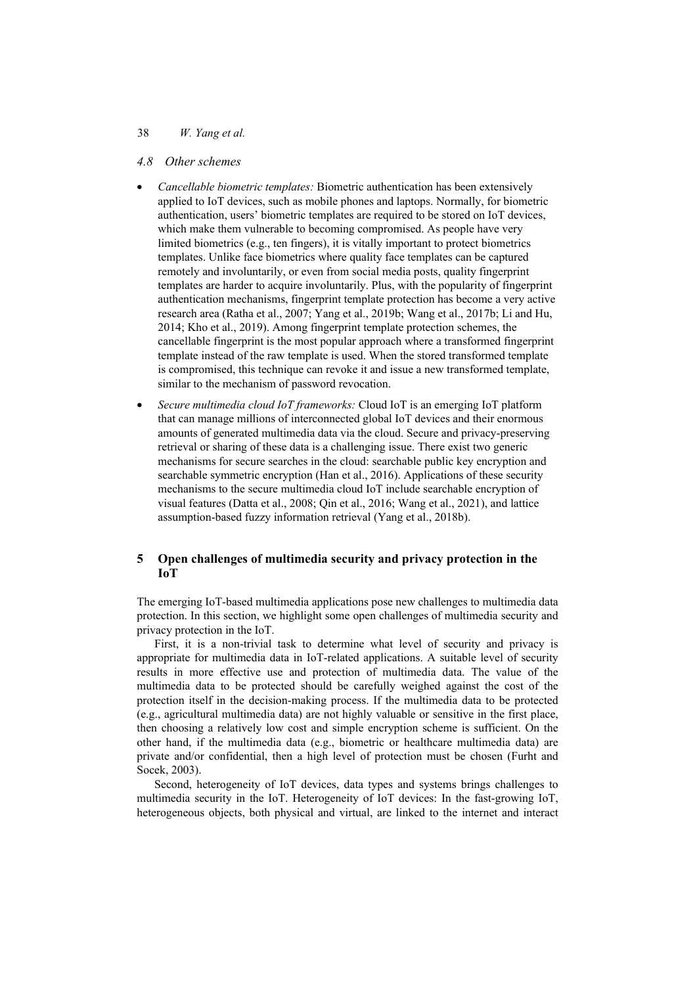#### 38 *W. Yang et al.*

### *4.8 Other schemes*

- *Cancellable biometric templates:* Biometric authentication has been extensively applied to IoT devices, such as mobile phones and laptops. Normally, for biometric authentication, users' biometric templates are required to be stored on IoT devices, which make them vulnerable to becoming compromised. As people have very limited biometrics (e.g., ten fingers), it is vitally important to protect biometrics templates. Unlike face biometrics where quality face templates can be captured remotely and involuntarily, or even from social media posts, quality fingerprint templates are harder to acquire involuntarily. Plus, with the popularity of fingerprint authentication mechanisms, fingerprint template protection has become a very active research area (Ratha et al., 2007; Yang et al., 2019b; Wang et al., 2017b; Li and Hu, 2014; Kho et al., 2019). Among fingerprint template protection schemes, the cancellable fingerprint is the most popular approach where a transformed fingerprint template instead of the raw template is used. When the stored transformed template is compromised, this technique can revoke it and issue a new transformed template, similar to the mechanism of password revocation.
- *Secure multimedia cloud IoT frameworks:* Cloud IoT is an emerging IoT platform that can manage millions of interconnected global IoT devices and their enormous amounts of generated multimedia data via the cloud. Secure and privacy-preserving retrieval or sharing of these data is a challenging issue. There exist two generic mechanisms for secure searches in the cloud: searchable public key encryption and searchable symmetric encryption (Han et al., 2016). Applications of these security mechanisms to the secure multimedia cloud IoT include searchable encryption of visual features (Datta et al., 2008; Qin et al., 2016; Wang et al., 2021), and lattice assumption-based fuzzy information retrieval (Yang et al., 2018b).

## **5 Open challenges of multimedia security and privacy protection in the IoT**

The emerging IoT-based multimedia applications pose new challenges to multimedia data protection. In this section, we highlight some open challenges of multimedia security and privacy protection in the IoT.

First, it is a non-trivial task to determine what level of security and privacy is appropriate for multimedia data in IoT-related applications. A suitable level of security results in more effective use and protection of multimedia data. The value of the multimedia data to be protected should be carefully weighed against the cost of the protection itself in the decision-making process. If the multimedia data to be protected (e.g., agricultural multimedia data) are not highly valuable or sensitive in the first place, then choosing a relatively low cost and simple encryption scheme is sufficient. On the other hand, if the multimedia data (e.g., biometric or healthcare multimedia data) are private and/or confidential, then a high level of protection must be chosen (Furht and Socek, 2003).

Second, heterogeneity of IoT devices, data types and systems brings challenges to multimedia security in the IoT. Heterogeneity of IoT devices: In the fast-growing IoT, heterogeneous objects, both physical and virtual, are linked to the internet and interact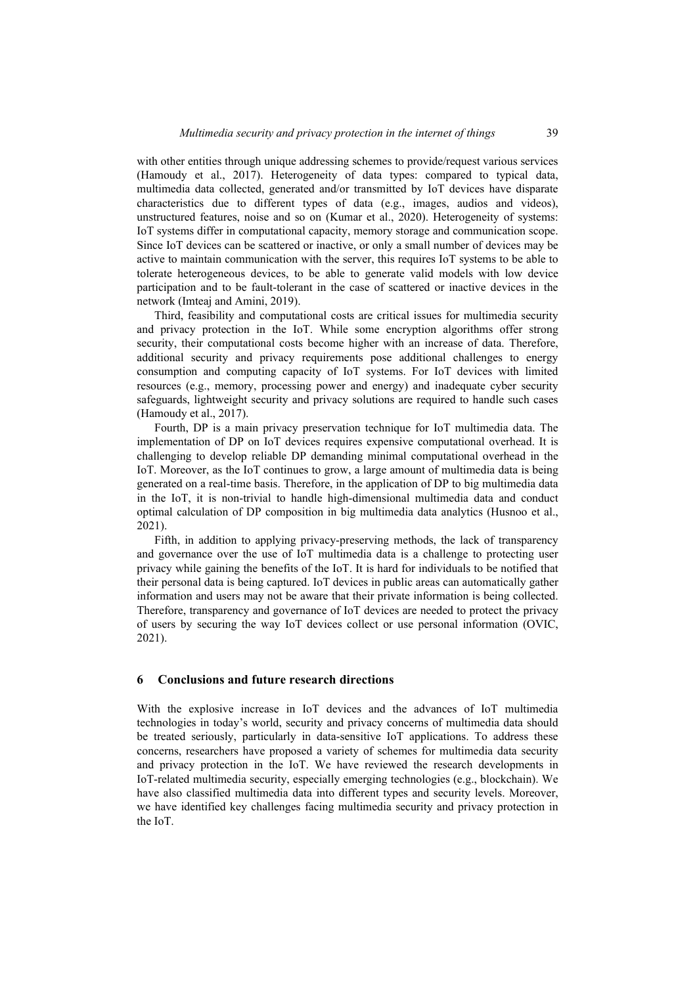with other entities through unique addressing schemes to provide/request various services (Hamoudy et al., 2017). Heterogeneity of data types: compared to typical data, multimedia data collected, generated and/or transmitted by IoT devices have disparate characteristics due to different types of data (e.g., images, audios and videos), unstructured features, noise and so on (Kumar et al., 2020). Heterogeneity of systems: IoT systems differ in computational capacity, memory storage and communication scope. Since IoT devices can be scattered or inactive, or only a small number of devices may be active to maintain communication with the server, this requires IoT systems to be able to tolerate heterogeneous devices, to be able to generate valid models with low device participation and to be fault-tolerant in the case of scattered or inactive devices in the network (Imteaj and Amini, 2019).

Third, feasibility and computational costs are critical issues for multimedia security and privacy protection in the IoT. While some encryption algorithms offer strong security, their computational costs become higher with an increase of data. Therefore, additional security and privacy requirements pose additional challenges to energy consumption and computing capacity of IoT systems. For IoT devices with limited resources (e.g., memory, processing power and energy) and inadequate cyber security safeguards, lightweight security and privacy solutions are required to handle such cases (Hamoudy et al., 2017).

Fourth, DP is a main privacy preservation technique for IoT multimedia data. The implementation of DP on IoT devices requires expensive computational overhead. It is challenging to develop reliable DP demanding minimal computational overhead in the IoT. Moreover, as the IoT continues to grow, a large amount of multimedia data is being generated on a real-time basis. Therefore, in the application of DP to big multimedia data in the IoT, it is non-trivial to handle high-dimensional multimedia data and conduct optimal calculation of DP composition in big multimedia data analytics (Husnoo et al., 2021).

Fifth, in addition to applying privacy-preserving methods, the lack of transparency and governance over the use of IoT multimedia data is a challenge to protecting user privacy while gaining the benefits of the IoT. It is hard for individuals to be notified that their personal data is being captured. IoT devices in public areas can automatically gather information and users may not be aware that their private information is being collected. Therefore, transparency and governance of IoT devices are needed to protect the privacy of users by securing the way IoT devices collect or use personal information (OVIC, 2021).

## **6 Conclusions and future research directions**

With the explosive increase in IoT devices and the advances of IoT multimedia technologies in today's world, security and privacy concerns of multimedia data should be treated seriously, particularly in data-sensitive IoT applications. To address these concerns, researchers have proposed a variety of schemes for multimedia data security and privacy protection in the IoT. We have reviewed the research developments in IoT-related multimedia security, especially emerging technologies (e.g., blockchain). We have also classified multimedia data into different types and security levels. Moreover, we have identified key challenges facing multimedia security and privacy protection in the IoT.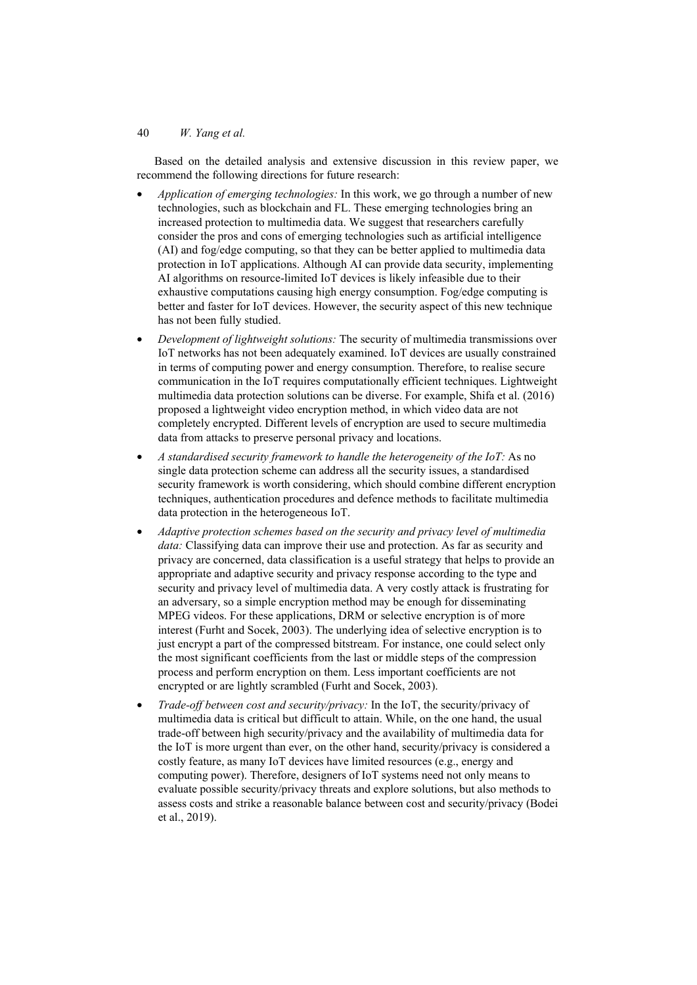Based on the detailed analysis and extensive discussion in this review paper, we recommend the following directions for future research:

- *Application of emerging technologies:* In this work, we go through a number of new technologies, such as blockchain and FL. These emerging technologies bring an increased protection to multimedia data. We suggest that researchers carefully consider the pros and cons of emerging technologies such as artificial intelligence (AI) and fog/edge computing, so that they can be better applied to multimedia data protection in IoT applications. Although AI can provide data security, implementing AI algorithms on resource-limited IoT devices is likely infeasible due to their exhaustive computations causing high energy consumption. Fog/edge computing is better and faster for IoT devices. However, the security aspect of this new technique has not been fully studied.
- *Development of lightweight solutions:* The security of multimedia transmissions over IoT networks has not been adequately examined. IoT devices are usually constrained in terms of computing power and energy consumption. Therefore, to realise secure communication in the IoT requires computationally efficient techniques. Lightweight multimedia data protection solutions can be diverse. For example, Shifa et al. (2016) proposed a lightweight video encryption method, in which video data are not completely encrypted. Different levels of encryption are used to secure multimedia data from attacks to preserve personal privacy and locations.
- *A standardised security framework to handle the heterogeneity of the IoT:* As no single data protection scheme can address all the security issues, a standardised security framework is worth considering, which should combine different encryption techniques, authentication procedures and defence methods to facilitate multimedia data protection in the heterogeneous IoT.
- *Adaptive protection schemes based on the security and privacy level of multimedia data:* Classifying data can improve their use and protection. As far as security and privacy are concerned, data classification is a useful strategy that helps to provide an appropriate and adaptive security and privacy response according to the type and security and privacy level of multimedia data. A very costly attack is frustrating for an adversary, so a simple encryption method may be enough for disseminating MPEG videos. For these applications, DRM or selective encryption is of more interest (Furht and Socek, 2003). The underlying idea of selective encryption is to just encrypt a part of the compressed bitstream. For instance, one could select only the most significant coefficients from the last or middle steps of the compression process and perform encryption on them. Less important coefficients are not encrypted or are lightly scrambled (Furht and Socek, 2003).
- *Trade-off between cost and security/privacy:* In the IoT, the security/privacy of multimedia data is critical but difficult to attain. While, on the one hand, the usual trade-off between high security/privacy and the availability of multimedia data for the IoT is more urgent than ever, on the other hand, security/privacy is considered a costly feature, as many IoT devices have limited resources (e.g., energy and computing power). Therefore, designers of IoT systems need not only means to evaluate possible security/privacy threats and explore solutions, but also methods to assess costs and strike a reasonable balance between cost and security/privacy (Bodei et al., 2019).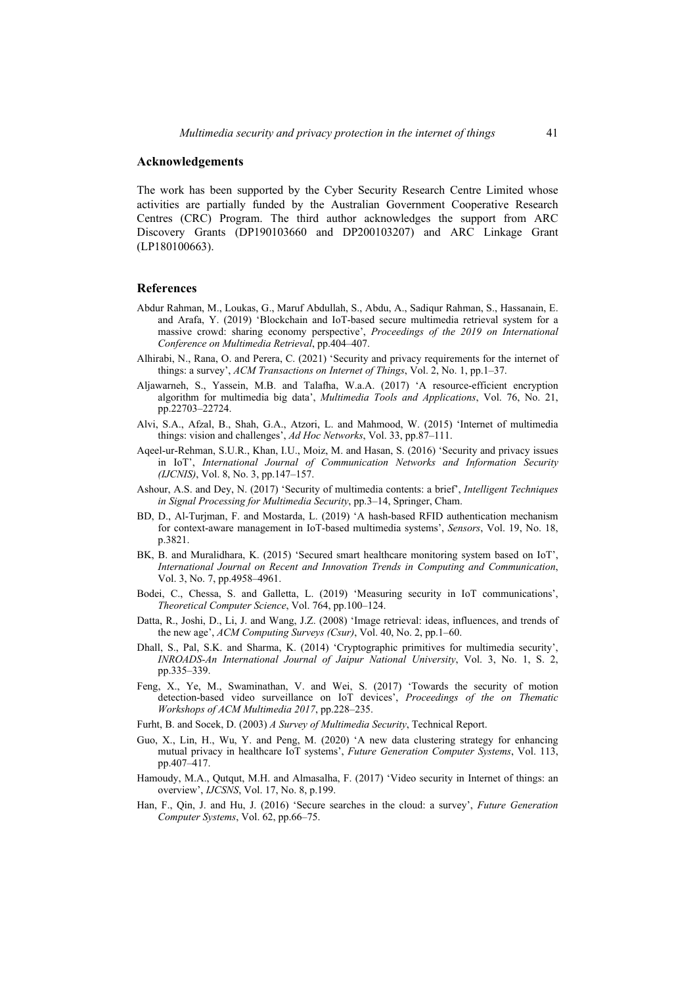### **Acknowledgements**

The work has been supported by the Cyber Security Research Centre Limited whose activities are partially funded by the Australian Government Cooperative Research Centres (CRC) Program. The third author acknowledges the support from ARC Discovery Grants (DP190103660 and DP200103207) and ARC Linkage Grant (LP180100663).

#### **References**

- Abdur Rahman, M., Loukas, G., Maruf Abdullah, S., Abdu, A., Sadiqur Rahman, S., Hassanain, E. and Arafa, Y. (2019) 'Blockchain and IoT-based secure multimedia retrieval system for a massive crowd: sharing economy perspective', *Proceedings of the 2019 on International Conference on Multimedia Retrieval*, pp.404–407.
- Alhirabi, N., Rana, O. and Perera, C. (2021) 'Security and privacy requirements for the internet of things: a survey', *ACM Transactions on Internet of Things*, Vol. 2, No. 1, pp.1–37.
- Aljawarneh, S., Yassein, M.B. and Talafha, W.a.A. (2017) 'A resource-efficient encryption algorithm for multimedia big data', *Multimedia Tools and Applications*, Vol. 76, No. 21, pp.22703–22724.
- Alvi, S.A., Afzal, B., Shah, G.A., Atzori, L. and Mahmood, W. (2015) 'Internet of multimedia things: vision and challenges', *Ad Hoc Networks*, Vol. 33, pp.87–111.
- Aqeel-ur-Rehman, S.U.R., Khan, I.U., Moiz, M. and Hasan, S. (2016) 'Security and privacy issues in IoT', *International Journal of Communication Networks and Information Security (IJCNIS)*, Vol. 8, No. 3, pp.147–157.
- Ashour, A.S. and Dey, N. (2017) 'Security of multimedia contents: a brief', *Intelligent Techniques in Signal Processing for Multimedia Security*, pp.3–14, Springer, Cham.
- BD, D., Al-Turjman, F. and Mostarda, L. (2019) 'A hash-based RFID authentication mechanism for context-aware management in IoT-based multimedia systems', *Sensors*, Vol. 19, No. 18, p.3821.
- BK, B. and Muralidhara, K. (2015) 'Secured smart healthcare monitoring system based on IoT', *International Journal on Recent and Innovation Trends in Computing and Communication*, Vol. 3, No. 7, pp.4958–4961.
- Bodei, C., Chessa, S. and Galletta, L. (2019) 'Measuring security in IoT communications', *Theoretical Computer Science*, Vol. 764, pp.100–124.
- Datta, R., Joshi, D., Li, J. and Wang, J.Z. (2008) 'Image retrieval: ideas, influences, and trends of the new age', *ACM Computing Surveys (Csur)*, Vol. 40, No. 2, pp.1–60.
- Dhall, S., Pal, S.K. and Sharma, K. (2014) 'Cryptographic primitives for multimedia security', *INROADS-An International Journal of Jaipur National University*, Vol. 3, No. 1, S. 2, pp.335–339.
- Feng, X., Ye, M., Swaminathan, V. and Wei, S. (2017) 'Towards the security of motion detection-based video surveillance on IoT devices', *Proceedings of the on Thematic Workshops of ACM Multimedia 2017*, pp.228–235.
- Furht, B. and Socek, D. (2003) *A Survey of Multimedia Security*, Technical Report.
- Guo, X., Lin, H., Wu, Y. and Peng, M. (2020) 'A new data clustering strategy for enhancing mutual privacy in healthcare IoT systems', *Future Generation Computer Systems*, Vol. 113, pp.407–417.
- Hamoudy, M.A., Qutqut, M.H. and Almasalha, F. (2017) 'Video security in Internet of things: an overview', *IJCSNS*, Vol. 17, No. 8, p.199.
- Han, F., Qin, J. and Hu, J. (2016) 'Secure searches in the cloud: a survey', *Future Generation Computer Systems*, Vol. 62, pp.66–75.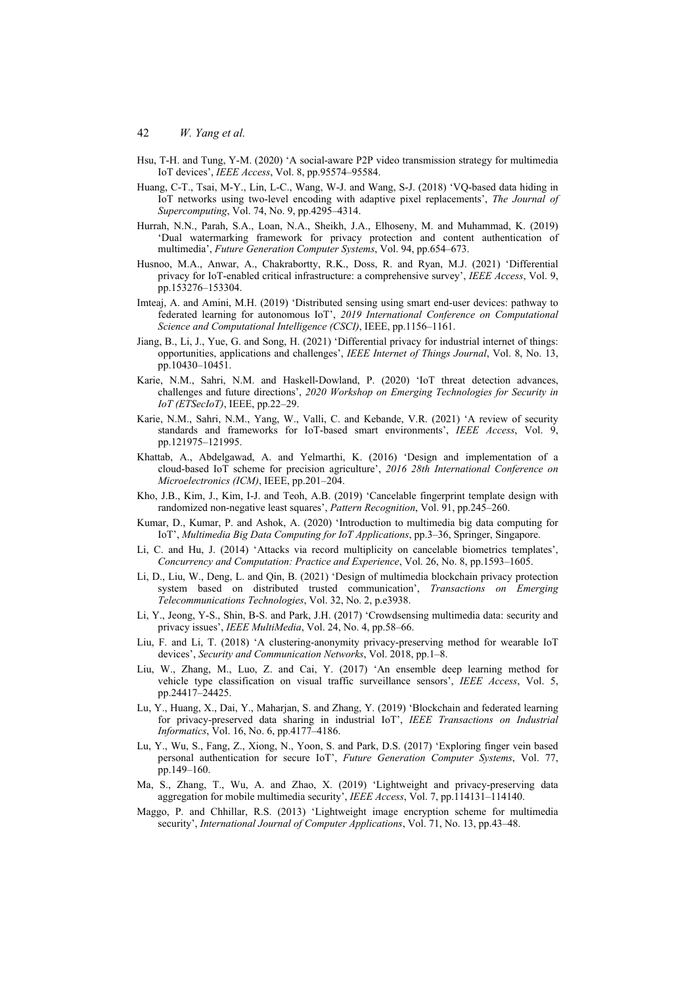- Hsu, T-H. and Tung, Y-M. (2020) 'A social-aware P2P video transmission strategy for multimedia IoT devices', *IEEE Access*, Vol. 8, pp.95574–95584.
- Huang, C-T., Tsai, M-Y., Lin, L-C., Wang, W-J. and Wang, S-J. (2018) 'VQ-based data hiding in IoT networks using two-level encoding with adaptive pixel replacements', *The Journal of Supercomputing*, Vol. 74, No. 9, pp.4295–4314.
- Hurrah, N.N., Parah, S.A., Loan, N.A., Sheikh, J.A., Elhoseny, M. and Muhammad, K. (2019) 'Dual watermarking framework for privacy protection and content authentication of multimedia', *Future Generation Computer Systems*, Vol. 94, pp.654–673.
- Husnoo, M.A., Anwar, A., Chakrabortty, R.K., Doss, R. and Ryan, M.J. (2021) 'Differential privacy for IoT-enabled critical infrastructure: a comprehensive survey', *IEEE Access*, Vol. 9, pp.153276–153304.
- Imteaj, A. and Amini, M.H. (2019) 'Distributed sensing using smart end-user devices: pathway to federated learning for autonomous IoT', *2019 International Conference on Computational Science and Computational Intelligence (CSCI)*, IEEE, pp.1156–1161.
- Jiang, B., Li, J., Yue, G. and Song, H. (2021) 'Differential privacy for industrial internet of things: opportunities, applications and challenges', *IEEE Internet of Things Journal*, Vol. 8, No. 13, pp.10430–10451.
- Karie, N.M., Sahri, N.M. and Haskell-Dowland, P. (2020) 'IoT threat detection advances, challenges and future directions', *2020 Workshop on Emerging Technologies for Security in IoT (ETSecIoT)*, IEEE, pp.22–29.
- Karie, N.M., Sahri, N.M., Yang, W., Valli, C. and Kebande, V.R. (2021) 'A review of security standards and frameworks for IoT-based smart environments', *IEEE Access*, Vol. 9, pp.121975–121995.
- Khattab, A., Abdelgawad, A. and Yelmarthi, K. (2016) 'Design and implementation of a cloud-based IoT scheme for precision agriculture', *2016 28th International Conference on Microelectronics (ICM)*, IEEE, pp.201–204.
- Kho, J.B., Kim, J., Kim, I-J. and Teoh, A.B. (2019) 'Cancelable fingerprint template design with randomized non-negative least squares', *Pattern Recognition*, Vol. 91, pp.245–260.
- Kumar, D., Kumar, P. and Ashok, A. (2020) 'Introduction to multimedia big data computing for IoT', *Multimedia Big Data Computing for IoT Applications*, pp.3–36, Springer, Singapore.
- Li, C. and Hu, J. (2014) 'Attacks via record multiplicity on cancelable biometrics templates', *Concurrency and Computation: Practice and Experience*, Vol. 26, No. 8, pp.1593–1605.
- Li, D., Liu, W., Deng, L. and Qin, B. (2021) 'Design of multimedia blockchain privacy protection system based on distributed trusted communication', *Transactions on Emerging Telecommunications Technologies*, Vol. 32, No. 2, p.e3938.
- Li, Y., Jeong, Y-S., Shin, B-S. and Park, J.H. (2017) 'Crowdsensing multimedia data: security and privacy issues', *IEEE MultiMedia*, Vol. 24, No. 4, pp.58–66.
- Liu, F. and Li, T. (2018) 'A clustering-anonymity privacy-preserving method for wearable IoT devices', *Security and Communication Networks*, Vol. 2018, pp.1–8.
- Liu, W., Zhang, M., Luo, Z. and Cai, Y. (2017) 'An ensemble deep learning method for vehicle type classification on visual traffic surveillance sensors', *IEEE Access*, Vol. 5, pp.24417–24425.
- Lu, Y., Huang, X., Dai, Y., Maharjan, S. and Zhang, Y. (2019) 'Blockchain and federated learning for privacy-preserved data sharing in industrial IoT', *IEEE Transactions on Industrial Informatics*, Vol. 16, No. 6, pp.4177–4186.
- Lu, Y., Wu, S., Fang, Z., Xiong, N., Yoon, S. and Park, D.S. (2017) 'Exploring finger vein based personal authentication for secure IoT', *Future Generation Computer Systems*, Vol. 77, pp.149–160.
- Ma, S., Zhang, T., Wu, A. and Zhao, X. (2019) 'Lightweight and privacy-preserving data aggregation for mobile multimedia security', *IEEE Access*, Vol. 7, pp.114131–114140.
- Maggo, P. and Chhillar, R.S. (2013) 'Lightweight image encryption scheme for multimedia security', *International Journal of Computer Applications*, Vol. 71, No. 13, pp.43–48.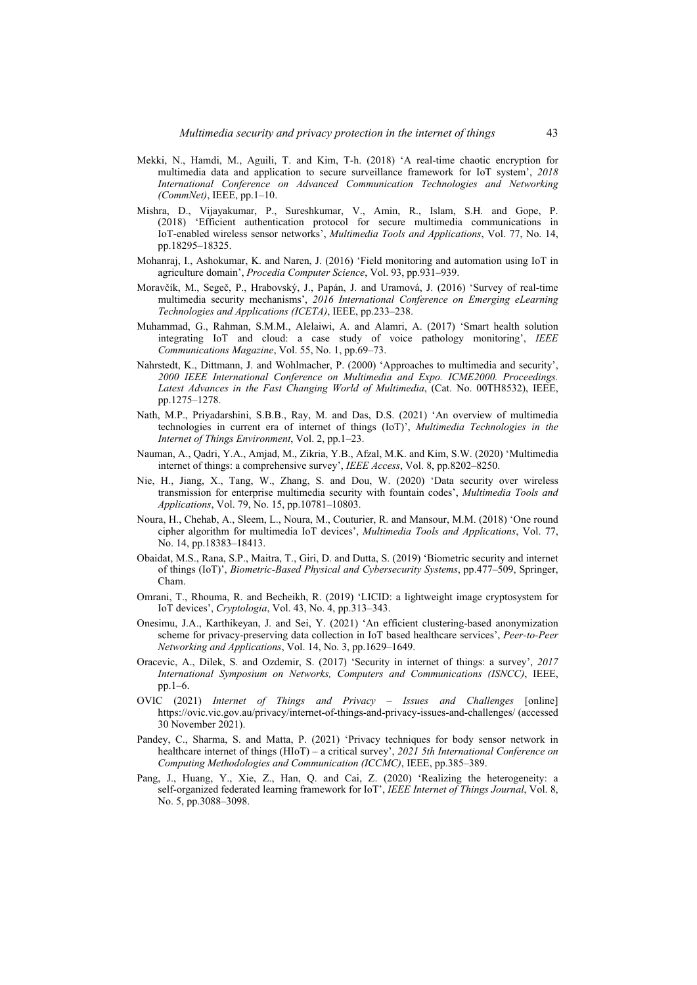- Mekki, N., Hamdi, M., Aguili, T. and Kim, T-h. (2018) 'A real-time chaotic encryption for multimedia data and application to secure surveillance framework for IoT system', *2018 International Conference on Advanced Communication Technologies and Networking (CommNet)*, IEEE, pp.1–10.
- Mishra, D., Vijayakumar, P., Sureshkumar, V., Amin, R., Islam, S.H. and Gope, P. (2018) 'Efficient authentication protocol for secure multimedia communications in IoT-enabled wireless sensor networks', *Multimedia Tools and Applications*, Vol. 77, No. 14, pp.18295–18325.
- Mohanraj, I., Ashokumar, K. and Naren, J. (2016) 'Field monitoring and automation using IoT in agriculture domain', *Procedia Computer Science*, Vol. 93, pp.931–939.
- Moravčík, M., Segeč, P., Hrabovský, J., Papán, J. and Uramová, J. (2016) 'Survey of real-time multimedia security mechanisms', *2016 International Conference on Emerging eLearning Technologies and Applications (ICETA)*, IEEE, pp.233–238.
- Muhammad, G., Rahman, S.M.M., Alelaiwi, A. and Alamri, A. (2017) 'Smart health solution integrating IoT and cloud: a case study of voice pathology monitoring', *IEEE Communications Magazine*, Vol. 55, No. 1, pp.69–73.
- Nahrstedt, K., Dittmann, J. and Wohlmacher, P. (2000) 'Approaches to multimedia and security', *2000 IEEE International Conference on Multimedia and Expo. ICME2000. Proceedings. Latest Advances in the Fast Changing World of Multimedia*, (Cat. No. 00TH8532), IEEE, pp.1275–1278.
- Nath, M.P., Priyadarshini, S.B.B., Ray, M. and Das, D.S. (2021) 'An overview of multimedia technologies in current era of internet of things (IoT)', *Multimedia Technologies in the Internet of Things Environment*, Vol. 2, pp.1–23.
- Nauman, A., Qadri, Y.A., Amjad, M., Zikria, Y.B., Afzal, M.K. and Kim, S.W. (2020) 'Multimedia internet of things: a comprehensive survey', *IEEE Access*, Vol. 8, pp.8202–8250.
- Nie, H., Jiang, X., Tang, W., Zhang, S. and Dou, W. (2020) 'Data security over wireless transmission for enterprise multimedia security with fountain codes', *Multimedia Tools and Applications*, Vol. 79, No. 15, pp.10781–10803.
- Noura, H., Chehab, A., Sleem, L., Noura, M., Couturier, R. and Mansour, M.M. (2018) 'One round cipher algorithm for multimedia IoT devices', *Multimedia Tools and Applications*, Vol. 77, No. 14, pp.18383–18413.
- Obaidat, M.S., Rana, S.P., Maitra, T., Giri, D. and Dutta, S. (2019) 'Biometric security and internet of things (IoT)', *Biometric-Based Physical and Cybersecurity Systems*, pp.477–509, Springer, Cham.
- Omrani, T., Rhouma, R. and Becheikh, R. (2019) 'LICID: a lightweight image cryptosystem for IoT devices', *Cryptologia*, Vol. 43, No. 4, pp.313–343.
- Onesimu, J.A., Karthikeyan, J. and Sei, Y. (2021) 'An efficient clustering-based anonymization scheme for privacy-preserving data collection in IoT based healthcare services', *Peer-to-Peer Networking and Applications*, Vol. 14, No. 3, pp.1629–1649.
- Oracevic, A., Dilek, S. and Ozdemir, S. (2017) 'Security in internet of things: a survey', *2017 International Symposium on Networks, Computers and Communications (ISNCC)*, IEEE, pp.1–6.
- OVIC (2021) *Internet of Things and Privacy Issues and Challenges* [online] https://ovic.vic.gov.au/privacy/internet-of-things-and-privacy-issues-and-challenges/ (accessed 30 November 2021).
- Pandey, C., Sharma, S. and Matta, P. (2021) 'Privacy techniques for body sensor network in healthcare internet of things (HIoT) – a critical survey', *2021 5th International Conference on Computing Methodologies and Communication (ICCMC)*, IEEE, pp.385–389.
- Pang, J., Huang, Y., Xie, Z., Han, Q. and Cai, Z. (2020) 'Realizing the heterogeneity: a self-organized federated learning framework for IoT', *IEEE Internet of Things Journal*, Vol. 8, No. 5, pp.3088-3098.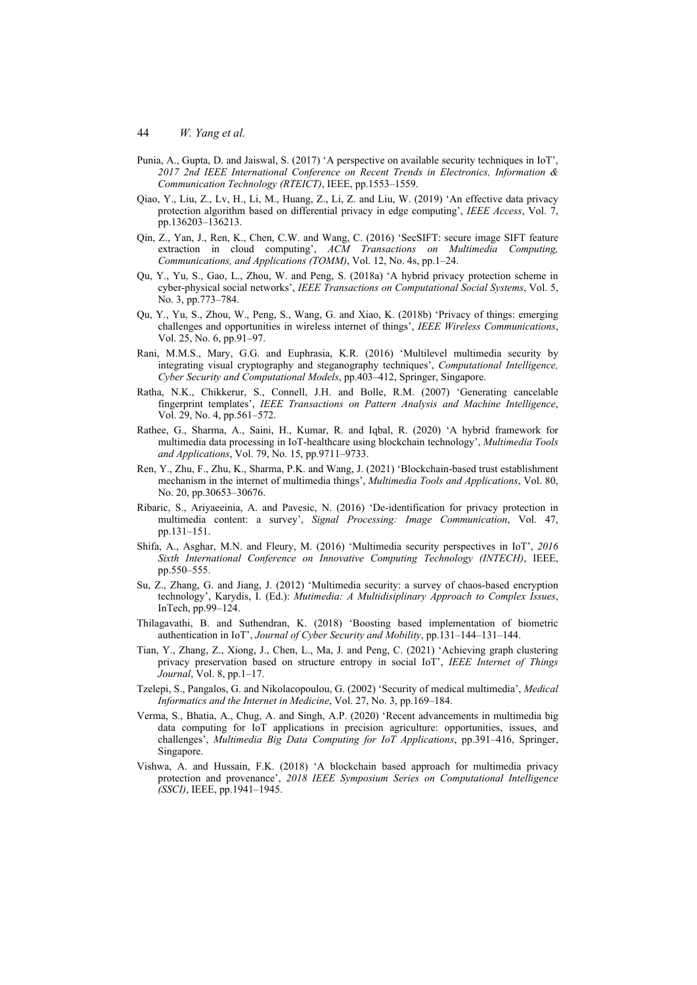- Punia, A., Gupta, D. and Jaiswal, S. (2017) 'A perspective on available security techniques in IoT', *2017 2nd IEEE International Conference on Recent Trends in Electronics, Information & Communication Technology (RTEICT)*, IEEE, pp.1553–1559.
- Qiao, Y., Liu, Z., Lv, H., Li, M., Huang, Z., Li, Z. and Liu, W. (2019) 'An effective data privacy protection algorithm based on differential privacy in edge computing', *IEEE Access*, Vol. 7, pp.136203–136213.
- Qin, Z., Yan, J., Ren, K., Chen, C.W. and Wang, C. (2016) 'SecSIFT: secure image SIFT feature extraction in cloud computing', *ACM Transactions on Multimedia Computing, Communications, and Applications (TOMM)*, Vol. 12, No. 4s, pp.1–24.
- Qu, Y., Yu, S., Gao, L., Zhou, W. and Peng, S. (2018a) 'A hybrid privacy protection scheme in cyber-physical social networks', *IEEE Transactions on Computational Social Systems*, Vol. 5, No. 3, pp.773–784.
- Qu, Y., Yu, S., Zhou, W., Peng, S., Wang, G. and Xiao, K. (2018b) 'Privacy of things: emerging challenges and opportunities in wireless internet of things', *IEEE Wireless Communications*, Vol. 25, No. 6, pp.91–97.
- Rani, M.M.S., Mary, G.G. and Euphrasia, K.R. (2016) 'Multilevel multimedia security by integrating visual cryptography and steganography techniques', *Computational Intelligence, Cyber Security and Computational Models*, pp.403–412, Springer, Singapore.
- Ratha, N.K., Chikkerur, S., Connell, J.H. and Bolle, R.M. (2007) 'Generating cancelable fingerprint templates', *IEEE Transactions on Pattern Analysis and Machine Intelligence*, Vol. 29, No. 4, pp.561–572.
- Rathee, G., Sharma, A., Saini, H., Kumar, R. and Iqbal, R. (2020) 'A hybrid framework for multimedia data processing in IoT-healthcare using blockchain technology', *Multimedia Tools and Applications*, Vol. 79, No. 15, pp.9711–9733.
- Ren, Y., Zhu, F., Zhu, K., Sharma, P.K. and Wang, J. (2021) 'Blockchain-based trust establishment mechanism in the internet of multimedia things', *Multimedia Tools and Applications*, Vol. 80, No. 20, pp.30653–30676.
- Ribaric, S., Ariyaeeinia, A. and Pavesic, N. (2016) 'De-identification for privacy protection in multimedia content: a survey', *Signal Processing: Image Communication*, Vol. 47, pp.131–151.
- Shifa, A., Asghar, M.N. and Fleury, M. (2016) 'Multimedia security perspectives in IoT', *2016 Sixth International Conference on Innovative Computing Technology (INTECH)*, IEEE, pp.550–555.
- Su, Z., Zhang, G. and Jiang, J. (2012) 'Multimedia security: a survey of chaos-based encryption technology', Karydis, I. (Ed.): *Mutimedia: A Multidisiplinary Approach to Complex Issues*, InTech, pp.99–124.
- Thilagavathi, B. and Suthendran, K. (2018) 'Boosting based implementation of biometric authentication in IoT', *Journal of Cyber Security and Mobility*, pp.131–144–131–144.
- Tian, Y., Zhang, Z., Xiong, J., Chen, L., Ma, J. and Peng, C. (2021) 'Achieving graph clustering privacy preservation based on structure entropy in social IoT', *IEEE Internet of Things Journal*, Vol. 8, pp.1–17.
- Tzelepi, S., Pangalos, G. and Nikolacopoulou, G. (2002) 'Security of medical multimedia', *Medical Informatics and the Internet in Medicine*, Vol. 27, No. 3, pp.169–184.
- Verma, S., Bhatia, A., Chug, A. and Singh, A.P. (2020) 'Recent advancements in multimedia big data computing for IoT applications in precision agriculture: opportunities, issues, and challenges', *Multimedia Big Data Computing for IoT Applications*, pp.391–416, Springer, Singapore.
- Vishwa, A. and Hussain, F.K. (2018) 'A blockchain based approach for multimedia privacy protection and provenance', *2018 IEEE Symposium Series on Computational Intelligence (SSCI)*, IEEE, pp.1941–1945.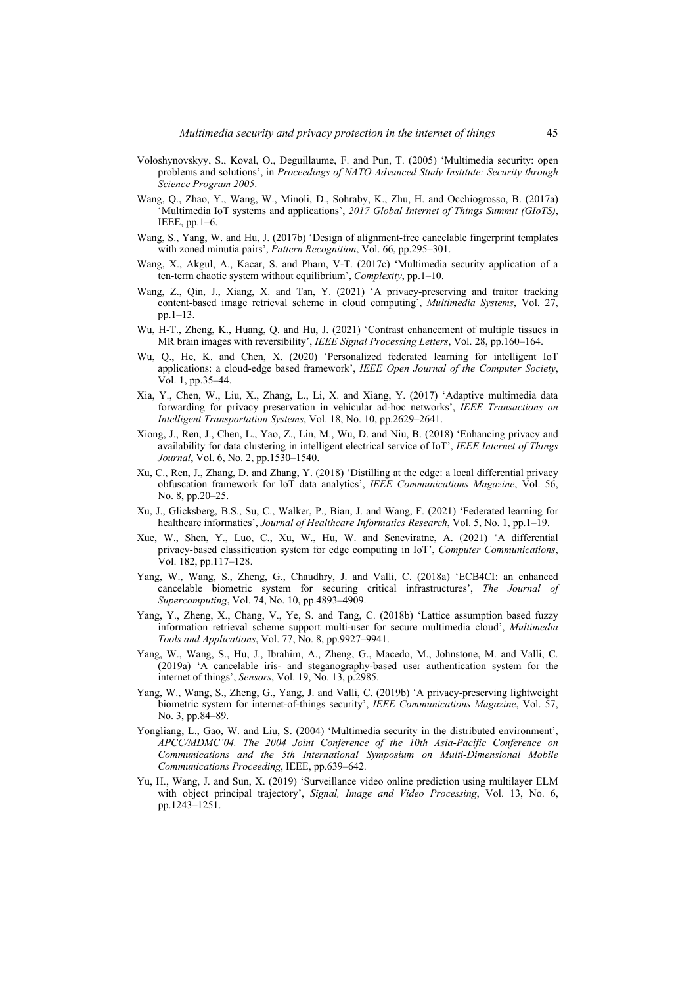- Voloshynovskyy, S., Koval, O., Deguillaume, F. and Pun, T. (2005) 'Multimedia security: open problems and solutions', in *Proceedings of NATO-Advanced Study Institute: Security through Science Program 2005*.
- Wang, Q., Zhao, Y., Wang, W., Minoli, D., Sohraby, K., Zhu, H. and Occhiogrosso, B. (2017a) 'Multimedia IoT systems and applications', *2017 Global Internet of Things Summit (GIoTS)*, IEEE, pp.1–6.
- Wang, S., Yang, W. and Hu, J. (2017b) 'Design of alignment-free cancelable fingerprint templates with zoned minutia pairs', *Pattern Recognition*, Vol. 66, pp.295–301.
- Wang, X., Akgul, A., Kacar, S. and Pham, V-T. (2017c) 'Multimedia security application of a ten-term chaotic system without equilibrium', *Complexity*, pp.1–10.
- Wang, Z., Qin, J., Xiang, X. and Tan, Y. (2021) 'A privacy-preserving and traitor tracking content-based image retrieval scheme in cloud computing', *Multimedia Systems*, Vol. 27, pp.1–13.
- Wu, H-T., Zheng, K., Huang, Q. and Hu, J. (2021) 'Contrast enhancement of multiple tissues in MR brain images with reversibility', *IEEE Signal Processing Letters*, Vol. 28, pp.160–164.
- Wu, Q., He, K. and Chen, X. (2020) 'Personalized federated learning for intelligent IoT applications: a cloud-edge based framework', *IEEE Open Journal of the Computer Society*, Vol. 1, pp.35–44.
- Xia, Y., Chen, W., Liu, X., Zhang, L., Li, X. and Xiang, Y. (2017) 'Adaptive multimedia data forwarding for privacy preservation in vehicular ad-hoc networks', *IEEE Transactions on Intelligent Transportation Systems*, Vol. 18, No. 10, pp.2629–2641.
- Xiong, J., Ren, J., Chen, L., Yao, Z., Lin, M., Wu, D. and Niu, B. (2018) 'Enhancing privacy and availability for data clustering in intelligent electrical service of IoT', *IEEE Internet of Things Journal*, Vol. 6, No. 2, pp.1530–1540.
- Xu, C., Ren, J., Zhang, D. and Zhang, Y. (2018) 'Distilling at the edge: a local differential privacy obfuscation framework for IoT data analytics', *IEEE Communications Magazine*, Vol. 56, No. 8, pp.20–25.
- Xu, J., Glicksberg, B.S., Su, C., Walker, P., Bian, J. and Wang, F. (2021) 'Federated learning for healthcare informatics', *Journal of Healthcare Informatics Research*, Vol. 5, No. 1, pp.1–19.
- Xue, W., Shen, Y., Luo, C., Xu, W., Hu, W. and Seneviratne, A. (2021) 'A differential privacy-based classification system for edge computing in IoT', *Computer Communications*, Vol. 182, pp.117–128.
- Yang, W., Wang, S., Zheng, G., Chaudhry, J. and Valli, C. (2018a) 'ECB4CI: an enhanced cancelable biometric system for securing critical infrastructures', *The Journal of Supercomputing*, Vol. 74, No. 10, pp.4893–4909.
- Yang, Y., Zheng, X., Chang, V., Ye, S. and Tang, C. (2018b) 'Lattice assumption based fuzzy information retrieval scheme support multi-user for secure multimedia cloud', *Multimedia Tools and Applications*, Vol. 77, No. 8, pp.9927–9941.
- Yang, W., Wang, S., Hu, J., Ibrahim, A., Zheng, G., Macedo, M., Johnstone, M. and Valli, C. (2019a) 'A cancelable iris- and steganography-based user authentication system for the internet of things', *Sensors*, Vol. 19, No. 13, p.2985.
- Yang, W., Wang, S., Zheng, G., Yang, J. and Valli, C. (2019b) 'A privacy-preserving lightweight biometric system for internet-of-things security', *IEEE Communications Magazine*, Vol. 57, No. 3, pp.84–89.
- Yongliang, L., Gao, W. and Liu, S. (2004) 'Multimedia security in the distributed environment', *APCC/MDMC'04. The 2004 Joint Conference of the 10th Asia-Pacific Conference on Communications and the 5th International Symposium on Multi-Dimensional Mobile Communications Proceeding*, IEEE, pp.639–642.
- Yu, H., Wang, J. and Sun, X. (2019) 'Surveillance video online prediction using multilayer ELM with object principal trajectory', *Signal, Image and Video Processing*, Vol. 13, No. 6, pp.1243–1251.